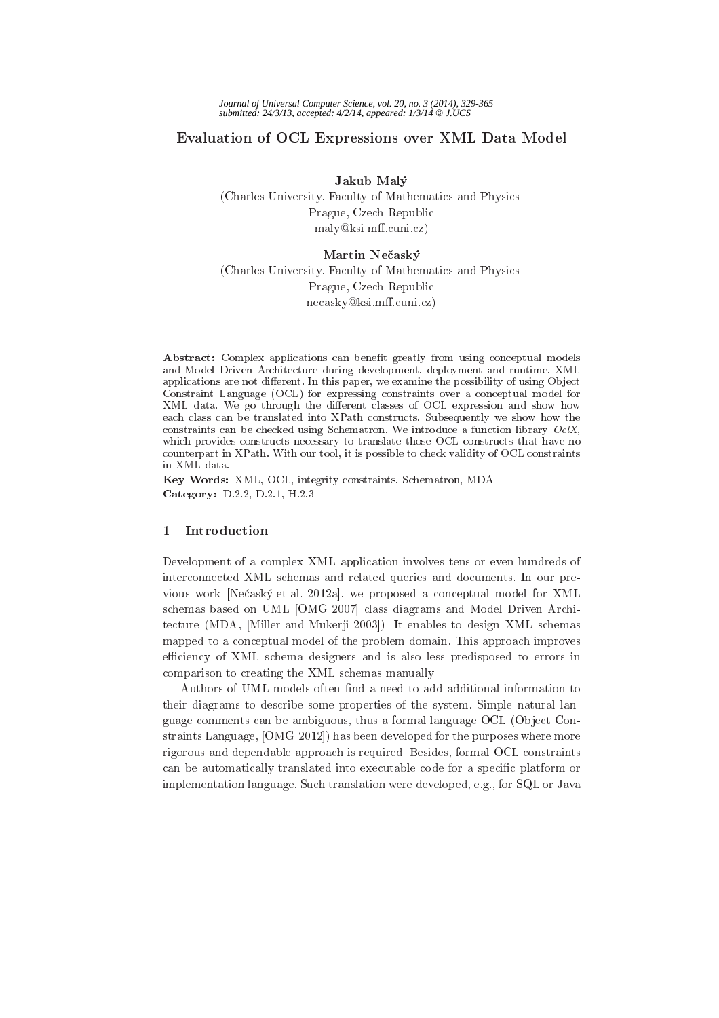# Evaluation of OCL Expressions over XML Data Model

Jakub Malý (Charles University, Faculty of Mathematics and Physics) Prague, Czech Republic maly@ksi.mff.cuni.cz)

# Martin Nečaský

(Charles University, Faculty of Mathematics and Physics Prague, Czech Republic  $\text{ne}\text{c}$ asky@ksi.mff.cuni.cz)

Abstract: Complex applications can benefit greatly from using conceptual models and Model Driven Architecture during development, deployment and runtime. XML applications are not different. In this paper, we examine the possibility of using Object Constraint Language (OCL) for expressing constraints over a conceptual model for XML data. We go through the different classes of OCL expression and show how each class can be translated into XPath constructs. Subsequently we show how the constraints can be checked using Schematron. We introduce a function library  $OcIX$ , which provides constructs necessary to translate those OCL constructs that have no counterpart in XPath. With our tool, it is possible to check validity of OCL constraints in XML data.

Key Words: XML, OCL, integrity constraints, Schematron, MDA Category: D.2.2, D.2.1, H.2.3

### $\mathbf{1}$ Introduction

Development of a complex XML application involves tens or even hundreds of interconnected XML schemas and related queries and documents. In our previous work [Nečaský et al. 2012a], we proposed a conceptual model for XML schemas based on UML [OMG 2007] class diagrams and Model Driven Architecture (MDA, [Miller and Mukerji 2003]). It enables to design XML schemas mapped to a conceptual model of the problem domain. This approach improves efficiency of XML schema designers and is also less predisposed to errors in comparison to creating the XML schemas manually.

Authors of UML models often find a need to add additional information to their diagrams to describe some properties of the system. Simple natural language comments can be ambiguous, thus a formal language OCL (Object Constraints Language, [OMG 2012]) has been developed for the purposes where more rigorous and dependable approach is required. Besides, formal OCL constraints can be automatically translated into executable code for a specific platform or implementation language. Such translation were developed, e.g., for SQL or Java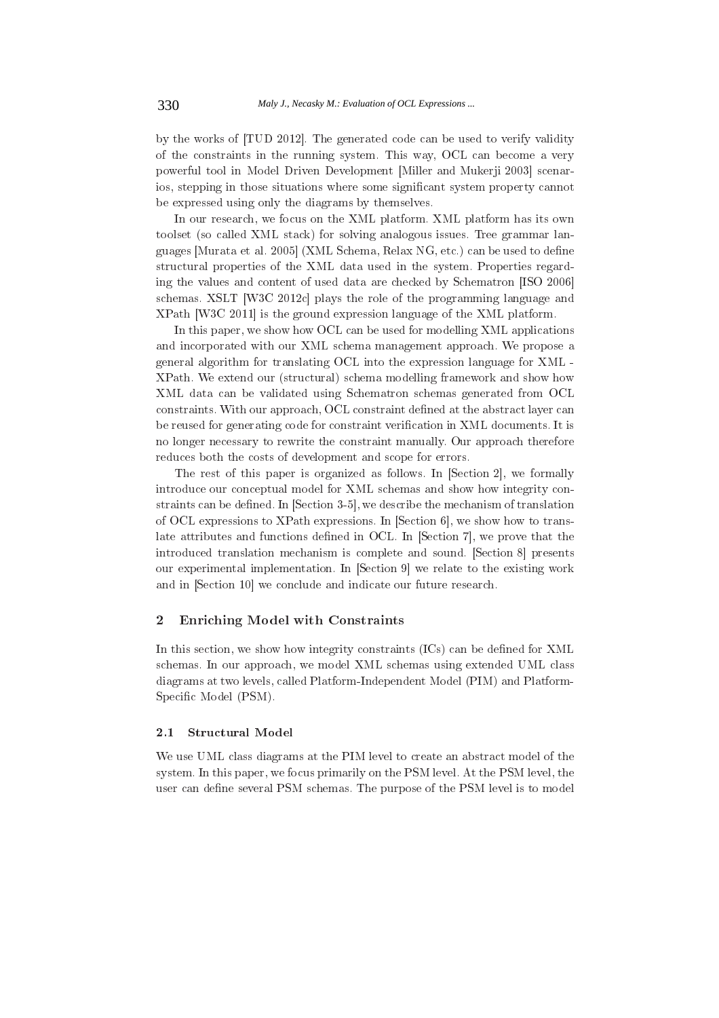by the works of [TUD 2012]. The generated code can be used to verify validity of the constraints in the running system. This way, OCL can become a very powerful tool in Model Driven Development [Miller and Mukerji 2003] scenarios, stepping in those situations where some significant system property cannot be expressed using only the diagrams by themselves.

In our research, we focus on the XML platform. XML platform has its own toolset (so called XML stack) for solving analogous issues. Tree grammar languages [Murata et al. 2005] (XML Schema, Relax NG, etc.) can be used to define structural properties of the XML data used in the system. Properties regarding the values and content of used data are checked by Schematron [ISO 2006] schemas. XSLT [W3C 2012c] plays the role of the programming language and XPath [W3C 2011] is the ground expression language of the XML platform.

In this paper, we show how OCL can be used for modelling XML applications and incorporated with our XML schema management approach. We propose a general algorithm for translating OCL into the expression language for XML -XPath. We extend our (structural) schema modelling framework and show how XML data can be validated using Schematron schemas generated from OCL constraints. With our approach, OCL constraint defined at the abstract layer can be reused for generating code for constraint verification in XML documents. It is no longer necessary to rewrite the constraint manually. Our approach therefore reduces both the costs of development and scope for errors.

The rest of this paper is organized as follows. In [Section 2], we formally introduce our conceptual model for XML schemas and show how integrity constraints can be defined. In [Section 3-5], we describe the mechanism of translation of OCL expressions to XPath expressions. In [Section 6], we show how to translate attributes and functions defined in OCL. In [Section 7], we prove that the introduced translation mechanism is complete and sound. [Section 8] presents our experimental implementation. In [Section 9] we relate to the existing work and in [Section 10] we conclude and indicate our future research.

## $\overline{2}$ **Enriching Model with Constraints**

In this section, we show how integrity constraints (ICs) can be defined for XML schemas. In our approach, we model XML schemas using extended UML class diagrams at two levels, called Platform-Independent Model (PIM) and Platform-Specific Model (PSM).

## **Structural Model**  $2.1$

We use UML class diagrams at the PIM level to create an abstract model of the system. In this paper, we focus primarily on the PSM level. At the PSM level, the user can define several PSM schemas. The purpose of the PSM level is to model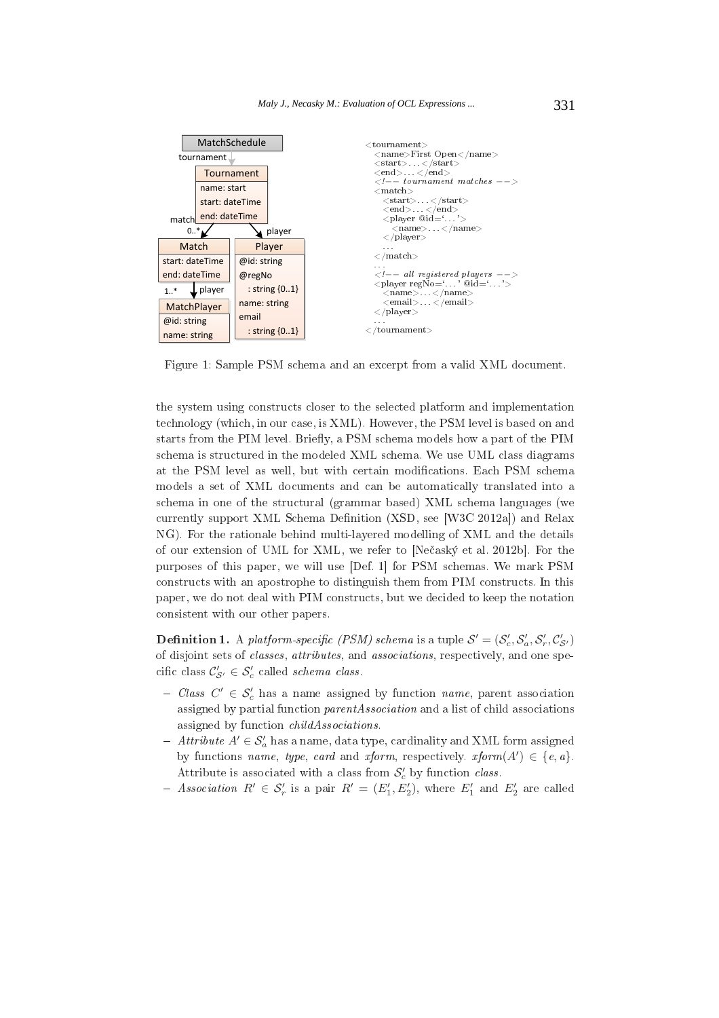

1E < < \$
  %&

and the contract of the contract of the contract of the contract of the contract of the contract of the contract of the contract of the contract of the contract of the contract of the contract of the contract of the contra  $\mathbf{f}$  for  $\mathbf{f}$  and  $\mathbf{f}$  for  $\mathbf{f}$  for  $\mathbf{f}$  for  $\mathbf{f}$  for  $\mathbf{f}$  for  $\mathbf{f}$ starts from the PIM level. Briefly, a PSM schema models how a part of the PIM  $\mathbf{B}$  $\mathcal{L} = \{ \mathbf{w}_1, \mathbf{w}_2, \ldots, \mathbf{w}_n \}$  , where  $\mathcal{L} = \{ \mathbf{w}_1, \mathbf{w}_2, \ldots, \mathbf{w}_n \}$  %&  $\mathbf{M}$  , and a set of  $\mathbf{M}$  , and  $\mathbf{M}$  , and  $\mathbf{M}$  , and  $\mathbf{M}$  , and  $\mathbf{M}$  , and  $\mathbf{M}$  , and  $\mathbf{M}$  , and  $\mathbf{M}$  , and  $\mathbf{M}$  , and  $\mathbf{M}$  , and  $\mathbf{M}$  , and  $\mathbf{M}$  , and  $\mathbf{M}$  , and  $\$  
 %& < #; %<# +B8- /01/2" \$ ,4" 

) %& 
 \$ & %& \* +,-. 
 /01/2 purposes of this paper, we will use [Def. 1] for PSM schemas. We mark PSM \*

 ( ( \* \*
 ( 
 \* 

 \*

**Definition 1.** A platform-specific (PSM) schema is a tuple  $\mathcal{S}' = (\mathcal{S}'_c, \mathcal{S}'_a, \mathcal{S}'_r, \mathcal{C}'_{\mathcal{S}'} )$ re menghama naha tahun 1973 menjadi menyanyi menyanyi selah selah tahun panggalang tahun 1973. Selain sahiji d cific class  $\mathcal{C}_{\mathcal{S}'}' \in \mathcal{S}_{c}'$  called *schema class.* 

- $\begin{aligned} \text{The case } C' \in \mathcal{S}'_c \text{ has a name assigned by function } name, \text{ parent association} \end{aligned}$ 
 $\blacksquare$ . The contract of the contract of the contract of the contract of the contract of the contract of the contract of the contract of the contract of the contract of the contract of the contract of the contract of the c
- $A' \in \mathcal{S}'_a$  has a name, data type, cardinality and XML form assigned by functions name, type, card and xform, respectively. xform(A' by functions *name*, *type*, *card* and *xform*, respectively. *xform*( $A'$ )  $\in$  {*e*, *a*}.<br>Attribute is associated with a class from  $S'_{c}$  by function *class*.
- Association  $R' \in \mathcal{S}'_r$  is a pair  $R' = (E'_1, E'_2)$ , where  $E'_1$  and  $E'_2$  are called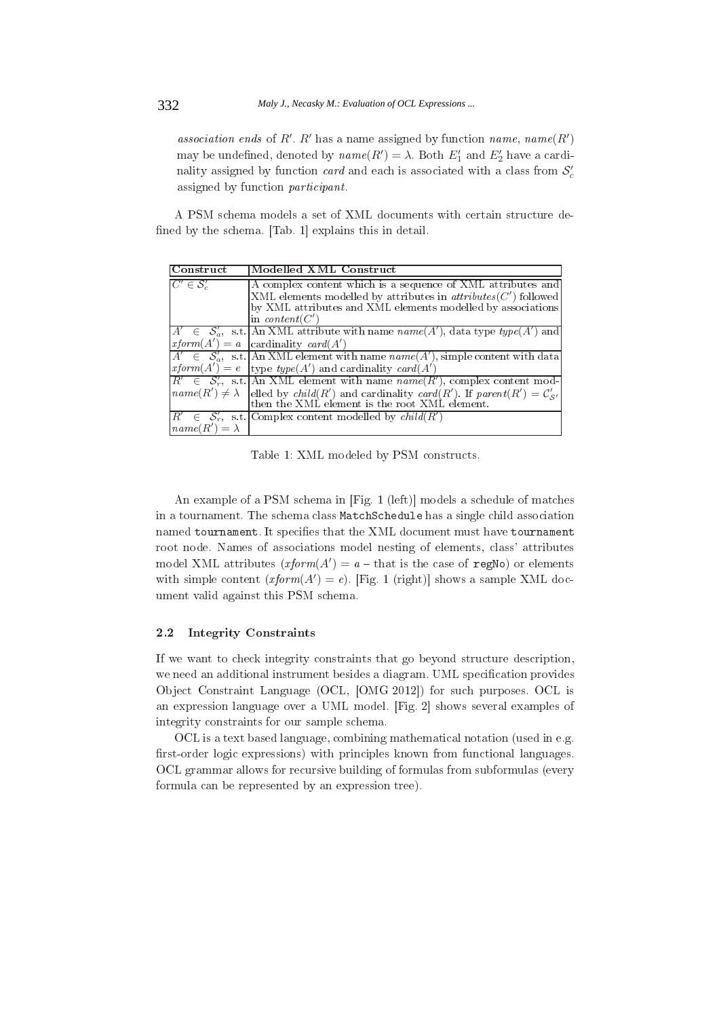*association ends* of R'. R' has a name assigned by function *name*,  $name(R')$ may be undefined, denoted by  $name(R') = \lambda$ . Both  $E'_1$  and  $E'_2$  have a cardinality assigned by function *card* and each is associated with a class from  $S_c$ assigned by function *participant*.

A PSM schema models a set of XML documents with certain structure defined by the schema. [Tab. 1] explains this in detail.

| Construct               | Modelled XML Construct                                                                                   |
|-------------------------|----------------------------------------------------------------------------------------------------------|
| $C' \in \mathcal{S}'_c$ | A complex content which is a sequence of XML attributes and                                              |
|                         | $[XML]$ elements modelled by attributes in $attributes(C')$ followed                                     |
|                         | by XML attributes and XML elements modelled by associations                                              |
|                         | in <i>content</i> ( $C'$ )                                                                               |
|                         | $A' \in S'_{a}$ , s.t. An XML attribute with name $name(A')$ , data type type $(A')$ and                 |
|                         | $rform(A') = a$ cardinality card(A')                                                                     |
|                         | $A' \in S'_a$ , s.t. An XML element with name $name(A')$ , simple content with data                      |
|                         | $r \text{ from } (A') = e$ [type type(A') and cardinality card(A')                                       |
|                         | $R' \in S'_r$ , s.t. An XML element with name $name(R')$ , complex content mod-                          |
|                         | $name(R') \neq \lambda$ elled by child(R') and cardinality card(R'). If parent(R') = $\mathcal{C}'_{S'}$ |
|                         | then the XML element is the root XML element.                                                            |
|                         | $R' \in S'_r$ , s.t. Complex content modelled by child(R')                                               |
| $name(R') = \lambda$    |                                                                                                          |

Table 1: XML modeled by PSM constructs.

An example of a PSM schema in [Fig. 1 (left)] models a schedule of matches in a tournament. The schema class MatchSchedule has a single child association named tournament. It specifies that the XML document must have tournament root node. Names of associations model nesting of elements, class' attributes model XML attributes  $(xform(A') = a - that$  is the case of regNo) or elements with simple content  $(xform(A') = e)$ . [Fig. 1 (right)] shows a sample XML document valid against this PSM schema.

### 2.2 **Integrity Constraints**

If we want to check integrity constraints that go beyond structure description, we need an additional instrument besides a diagram. UML specification provides Object Constraint Language (OCL, [OMG 2012]) for such purposes. OCL is an expression language over a UML model. [Fig. 2] shows several examples of integrity constraints for our sample schema.

OCL is a text based language, combining mathematical notation (used in e.g. first-order logic expressions) with principles known from functional languages. OCL grammar allows for recursive building of formulas from subformulas (every formula can be represented by an expression tree).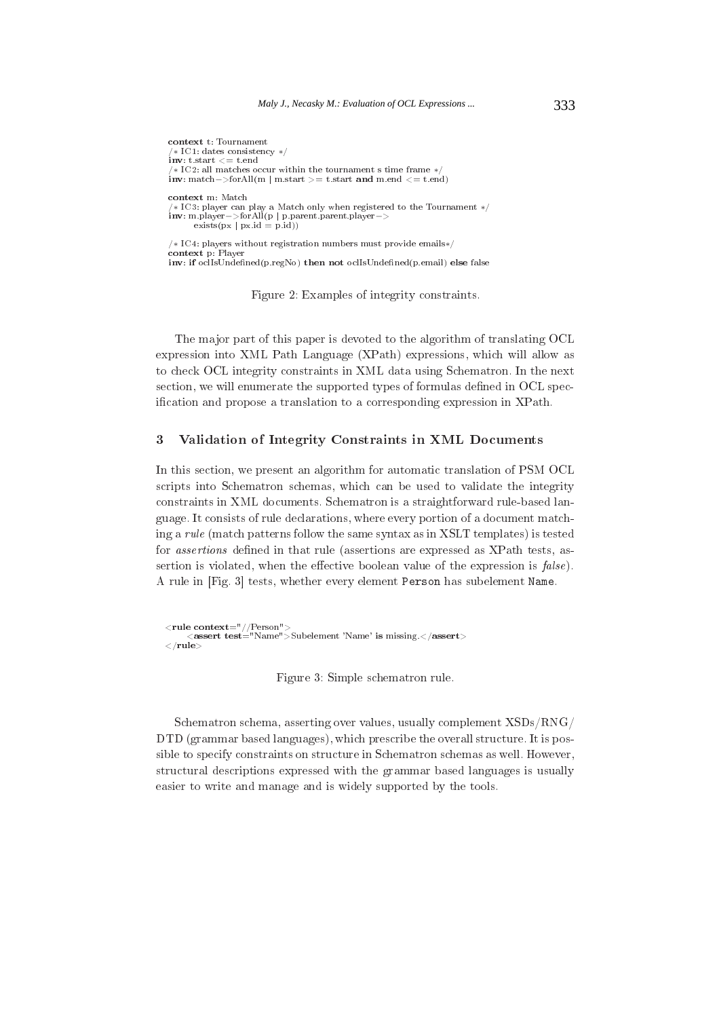```
context t: Tournament
 *\ IC1: dates consistency */\mathbf{inv: t.start} \leq t.end\sqrt{*} IC2: all matches occur within the tournament s time frame *inv: match->forAll(m | m.start >= t.start and m.end <= t.end)
context m: Match
 *\ IC3: player can play a Match only when registered to the Tournament */inv: m. player -> for All(p | p.parent.parent.plot layer ->exists(px | px.id = p.id))/* IC4: players without registration numbers must provide emails*/
context p: Player
```
inv: if oclIsUndefined(p.regNo) then not oclIsUndefined(p.email) else false

Figure 2: Examples of integrity constraints.

The major part of this paper is devoted to the algorithm of translating OCL expression into XML Path Language (XPath) expressions, which will allow as to check OCL integrity constraints in XML data using Schematron. In the next section, we will enumerate the supported types of formulas defined in OCL specification and propose a translation to a corresponding expression in XPath.

### $\boldsymbol{3}$ Validation of Integrity Constraints in XML Documents

In this section, we present an algorithm for automatic translation of PSM OCL scripts into Schematron schemas, which can be used to validate the integrity constraints in XML documents. Schematron is a straightforward rule-based language. It consists of rule declarations, where every portion of a document matching a rule (match patterns follow the same syntax as in XSLT templates) is tested for *assertions* defined in that rule (assertions are expressed as XPath tests, assertion is violated, when the effective boolean value of the expression is *false*). A rule in [Fig. 3] tests, whether every element Person has subelement Name.

<rule context="//Person"><br><assert test="Name">Subelement 'Name' is missing.</assert>  $\langle$ /rule>

Figure 3: Simple schematron rule.

Schematron schema, asserting over values, usually complement XSDs/RNG/ DTD (grammar based languages), which prescribe the overall structure. It is possible to specify constraints on structure in Schematron schemas as well. However, structural descriptions expressed with the grammar based languages is usually easier to write and manage and is widely supported by the tools.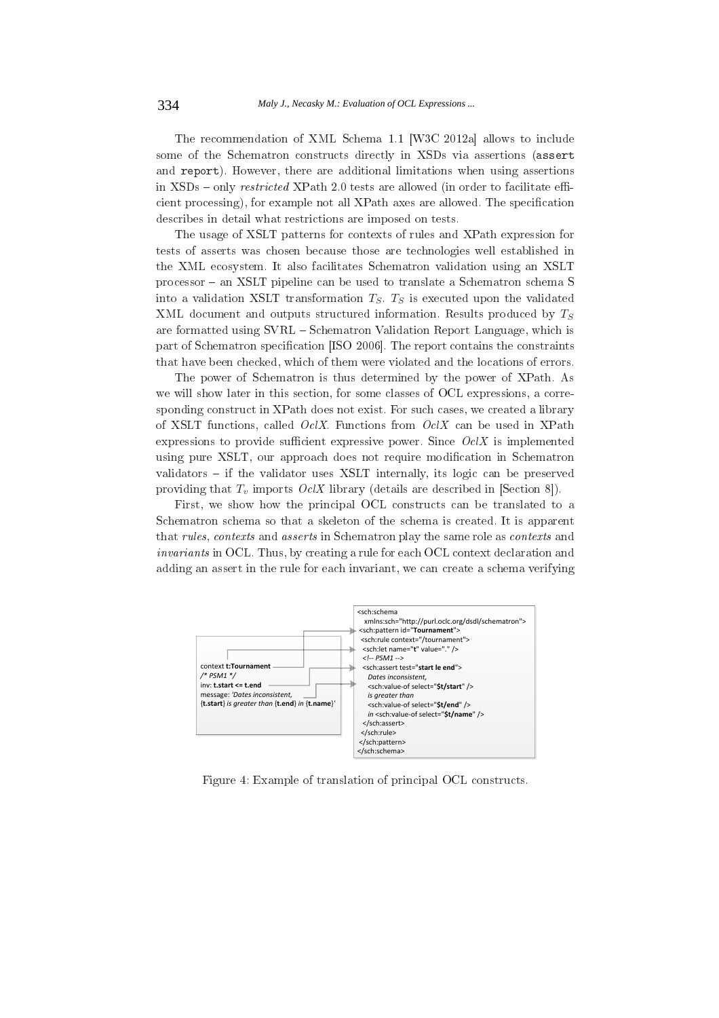The recommendation of XML Schema 1.1 [W3C 2012a] allows to include some of the Schematron constructs directly in XSDs via assertions (assert and report). However, there are additional limitations when using assertions in XSDs – only restricted XPath 2.0 tests are allowed (in order to facilitate efficient processing), for example not all XPath axes are allowed. The specification describes in detail what restrictions are imposed on tests.

The usage of XSLT patterns for contexts of rules and XPath expression for tests of asserts was chosen because those are technologies well established in the XML ecosystem. It also facilitates Schematron validation using an XSLT processor – an XSLT pipeline can be used to translate a Schematron schema S into a validation XSLT transformation  $T_S$ .  $T_S$  is executed upon the validated XML document and outputs structured information. Results produced by  $T_S$ are formatted using SVRL – Schematron Validation Report Language, which is part of Schematron specification [ISO 2006]. The report contains the constraints that have been checked, which of them were violated and the locations of errors.

The power of Schematron is thus determined by the power of XPath. As we will show later in this section, for some classes of OCL expressions, a corresponding construct in XPath does not exist. For such cases, we created a library of XSLT functions, called *OclX*. Functions from  $OcX$  can be used in XPath expressions to provide sufficient expressive power. Since  $OcX$  is implemented using pure XSLT, our approach does not require modification in Schematron validators – if the validator uses XSLT internally, its logic can be preserved providing that  $T_v$  imports *OclX* library (details are described in [Section 8]).

First, we show how the principal OCL constructs can be translated to a Schematron schema so that a skeleton of the schema is created. It is apparent that rules, contexts and asserts in Schematron play the same role as contexts and *invariants* in OCL. Thus, by creating a rule for each OCL context declaration and adding an assert in the rule for each invariant, we can create a schema verifying



Figure 4: Example of translation of principal OCL constructs.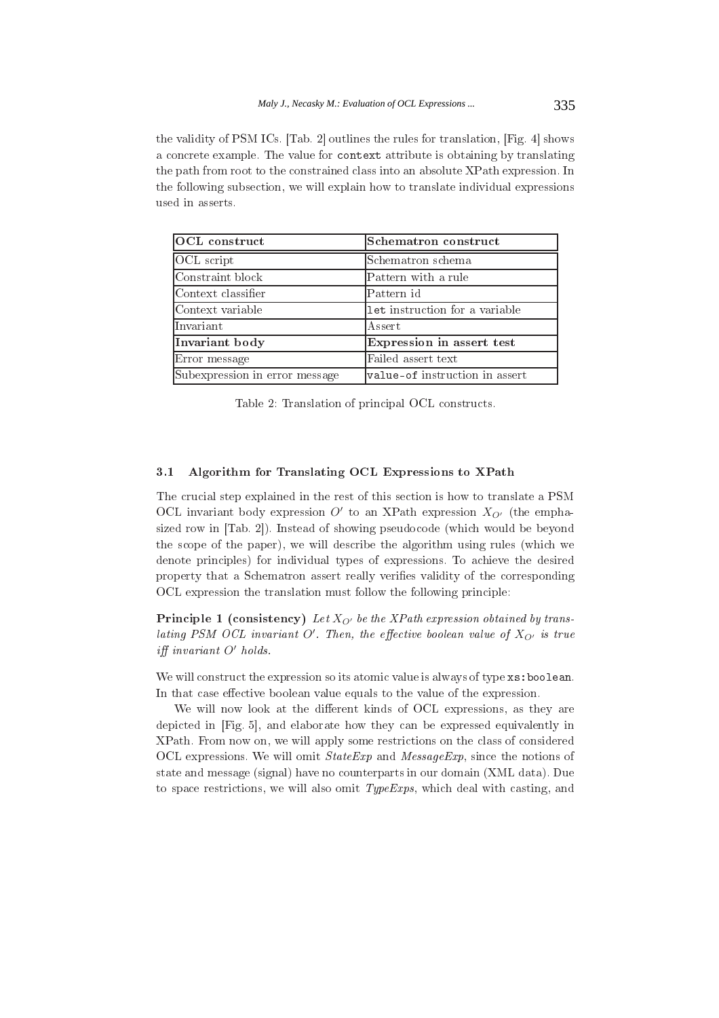the validity of PSM ICs. [Tab. 2] outlines the rules for translation, [Fig. 4] shows a concrete example. The value for context attribute is obtaining by translating the path from root to the constrained class into an absolute XPath expression. In the following subsection, we will explain how to translate individual expressions used in asserts.

| OCL construct                  | Schematron construct           |  |
|--------------------------------|--------------------------------|--|
| OCL script                     | Schematron schema              |  |
| Constraint block               | Pattern with a rule            |  |
| Context classifier             | Pattern id                     |  |
| Context variable               | let instruction for a variable |  |
| Invariant                      | Assert.                        |  |
| Invariant body                 | Expression in assert test      |  |
| Error message                  | Failed assert text             |  |
| Subexpression in error message | value-of instruction in assert |  |

Table 2: Translation of principal OCL constructs.

# Algorithm for Translating OCL Expressions to XPath  $3.1$

The crucial step explained in the rest of this section is how to translate a PSM OCL invariant body expression O' to an XPath expression  $X_{O'}$  (the emphasized row in [Tab. 2]). Instead of showing pseudocode (which would be beyond the scope of the paper), we will describe the algorithm using rules (which we denote principles) for individual types of expressions. To achieve the desired property that a Schematron assert really verifies validity of the corresponding OCL expression the translation must follow the following principle:

**Principle 1** (consistency) Let  $X_{Q'}$  be the XPath expression obtained by translating PSM OCL invariant O'. Then, the effective boolean value of  $X_{Q'}$  is true iff invariant O' holds.

We will construct the expression so its atomic value is always of type xs: boolean. In that case effective boolean value equals to the value of the expression.

We will now look at the different kinds of OCL expressions, as they are depicted in [Fig. 5], and elaborate how they can be expressed equivalently in XPath. From now on, we will apply some restrictions on the class of considered OCL expressions. We will omit  $StateExp$  and  $MessageExp$ , since the notions of state and message (signal) have no counterparts in our domain (XML data). Due to space restrictions, we will also omit  $TypeExpress$ , which deal with casting, and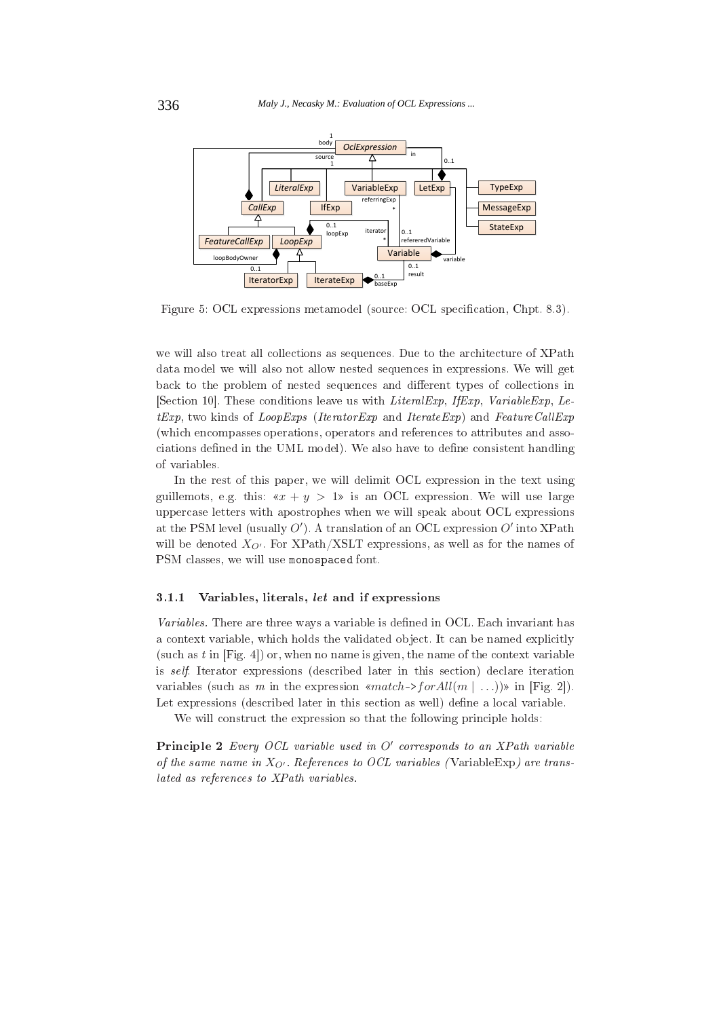

Figure 5: OCL expressions metamodel (source: OCL specification, Chpt. 8.3).

we will also treat all collections as sequences. Due to the architecture of XPath data model we will also not allow nested sequences in expressions. We will get back to the problem of nested sequences and different types of collections in [Section 10]. These conditions leave us with *LiteralExp*, *IfExp*, *VariableExp*, *Le* $tExp$ , two kinds of *LoopExps* (*IteratorExp* and *IterateExp*) and *FeatureCallExp* (which encompasses operations, operators and references to attributes and associations defined in the UML model). We also have to define consistent handling of variables.

In the rest of this paper, we will delimit OCL expression in the text using guillemots, e.g. this:  $\alpha x + y > 1$  is an OCL expression. We will use large uppercase letters with apostrophes when we will speak about OCL expressions at the PSM level (usually  $O'$ ). A translation of an OCL expression  $O'$  into XPath will be denoted  $X_{Q'}$ . For XPath/XSLT expressions, as well as for the names of PSM classes, we will use monospaced font.

#### $3.1.1$ Variables, literals, let and if expressions

Variables. There are three ways a variable is defined in OCL. Each invariant has a context variable, which holds the validated object. It can be named explicitly (such as  $t$  in [Fig. 4]) or, when no name is given, the name of the context variable is *self.* Iterator expressions (described later in this section) declare iteration variables (such as m in the expression «match->for All(m  $| \dots$ ))» in [Fig. 2]). Let expressions (described later in this section as well) define a local variable.

We will construct the expression so that the following principle holds:

Principle 2 Every OCL variable used in O' corresponds to an XPath variable of the same name in  $X_{Q'}$ . References to OCL variables (VariableExp) are translated as references to XPath variables.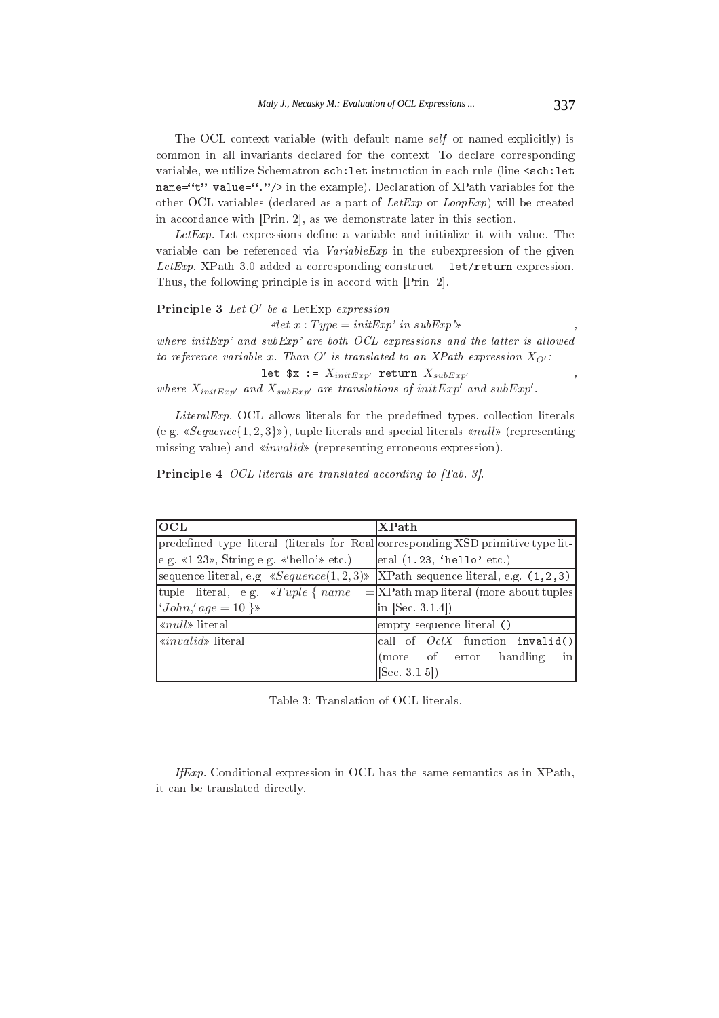The OCL context variable (with default name self or named explicitly) is common in all invariants declared for the context. To declare corresponding variable, we utilize Schematron sch: let instruction in each rule (line <sch: let name="t" value="."/> in the example). Declaration of XPath variables for the other OCL variables (declared as a part of LetExp or LoopExp) will be created in accordance with [Prin. 2], as we demonstrate later in this section.

 $Let Exp.$  Let expressions define a variable and initialize it with value. The variable can be referenced via *VariableExp* in the subexpression of the given Let Exp. XPath 3.0 added a corresponding construct  $-$  let/return expression. Thus, the following principle is in accord with [Prin. 2].

# **Principle 3** Let  $O'$  be a Let Exp expression

 $\ell$ let  $x:Type = initExp'$  in subExp'»

where  $initExp'$  and  $subExp'$  are both  $OCL$  expressions and the latter is allowed to reference variable x. Than O' is translated to an XPath expression  $X_{Q'}$ :

let  $x := X_{initExp'}$  return  $X_{subExp'}$ where  $X_{initExp}$  and  $X_{subExp}$  are translations of initExp' and subExp'.

LiteralExp. OCL allows literals for the predefined types, collection literals (e.g.  $\ll$  *Sequence*{1, 2, 3} $\gg$ ), tuple literals and special literals  $\ll$ *null* $\gg$  (representing missing value) and «*invalid*» (representing erroneous expression).

| <b>OCL</b>                                                                        | <b>XPath</b>                                 |
|-----------------------------------------------------------------------------------|----------------------------------------------|
| predefined type literal (literals for Real corresponding XSD primitive type lit-  |                                              |
| e.g. $\ll 1.23$ », String e.g. «'hello'» etc.)                                    | $\vert$ eral (1.23, 'hello' etc.)            |
| sequence literal, e.g. $sSequence(1,2,3)$  XPath sequence literal, e.g. $(1,2,3)$ |                                              |
| tuple literal, e.g. $\ll$ Tuple { name}                                           | $=$ $ XPath$ map literal (more about tuples) |
| ' $John, 'age = 10$ }»                                                            | $\ln$ [Sec. 3.1.4])                          |
| « $null$ » literal                                                                | empty sequence literal ()                    |
| <i>«invalid»</i> literal                                                          | $ call of OclX$ function invalid()           |
|                                                                                   | (more of error handling<br>$\frac{1}{2}$     |
|                                                                                   | [Sec. 3.1.5])                                |

**Principle 4** OCL literals are translated according to [Tab. 3].

Table 3: Translation of OCL literals.

If Exp. Conditional expression in OCL has the same semantics as in XPath, it can be translated directly.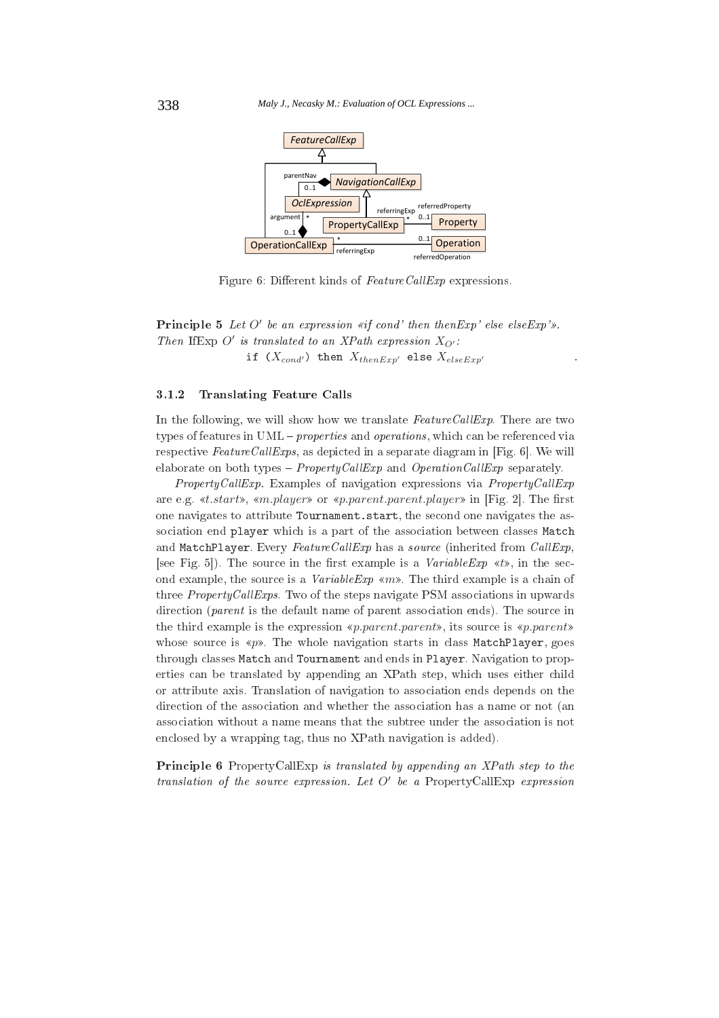

Figure 6: Different kinds of FeatureCallExp expressions.

**Principle 5** Let O' be an expression «if cond' then then  $Exp'$  else else  $Exp'$ ». Then If Exp O' is translated to an XPath expression  $X_{Q'}$ : if  $(X_{cond'})$  then  $X_{thenExp'}$  else  $X_{elseExp'}$ 

## **Translating Feature Calls** 3.1.2

In the following, we will show how we translate  $FeatureCallExp$ . There are two types of features in  $UML$  – *properties* and *operations*, which can be referenced via respective  $FeatureCallExpress$ , as depicted in a separate diagram in [Fig. 6]. We will elaborate on both types - *PropertyCallExp* and *OperationCallExp* separately.

 $Property CallExp$ . Examples of navigation expressions via  $Property CallExp$ are e.g. «t.start», «m.player» or «p.parent.parent.player» in [Fig. 2]. The first one navigates to attribute Tournament. start, the second one navigates the association end player which is a part of the association between classes Match and MatchPlayer. Every FeatureCallExp has a source (inherited from CallExp, [see Fig. 5]). The source in the first example is a *VariableExp*  $\ll t$ », in the second example, the source is a *VariableExp* « $m$ ». The third example is a chain of three  $Property Call Express$ . Two of the steps navigate PSM associations in upwards direction (parent is the default name of parent association ends). The source in the third example is the expression «*p.parent.parent*», its source is «*p.parent*» whose source is «p». The whole navigation starts in class MatchPlayer, goes through classes Match and Tournament and ends in Player. Navigation to properties can be translated by appending an XPath step, which uses either child or attribute axis. Translation of navigation to association ends depends on the direction of the association and whether the association has a name or not (an association without a name means that the subtree under the association is not enclosed by a wrapping tag, thus no XPath navigation is added).

**Principle 6** PropertyCallExp is translated by appending an XPath step to the translation of the source expression. Let  $O'$  be a PropertyCallExp expression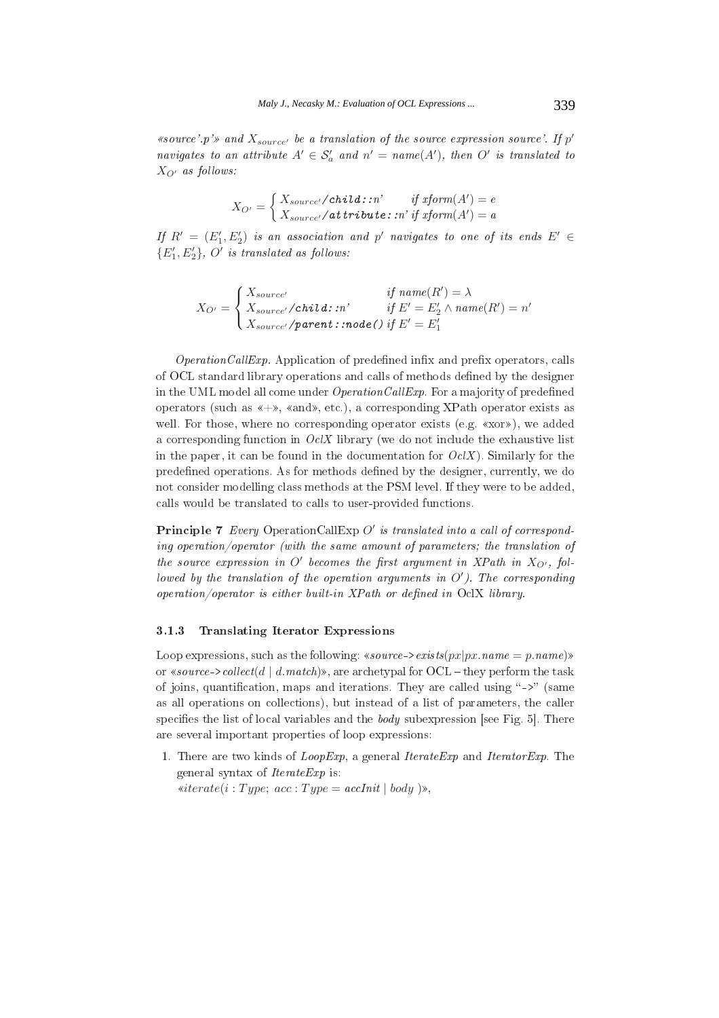«source'.p'» and  $X_{source'}$  be a translation of the source expression source'. If  $p'$ navigates to an attribute  $A' \in S'_a$  and  $n' = name(A')$ , then O' is translated to  $X_{O'}$  as follows:

$$
X_{O'} = \begin{cases} X_{source'}/child::n' & if\ xform(A') = e \\ X_{source'}/attribute::n' \ if\ xform(A') = a \end{cases}
$$

If  $R' = (E_1', E_2')$  is an association and p' navigates to one of its ends  $E' \in$  ${E'_1, E'_2}, O'$  is translated as follows:

$$
X_{O'} = \begin{cases} X_{source'} & \textit{if name}(R') = \lambda \\ X_{source'}/child: : n' & \textit{if } E' = E'_2 \land name(R') = n' \\ X_{source'}/parent: : node() \textit{if } E' = E'_1 \end{cases}
$$

 $OperationCallExp.$  Application of predefined infix and prefix operators, calls of OCL standard library operations and calls of methods defined by the designer in the UML model all come under  $OperationCallExp$ . For a majority of predefined operators (such as  $\langle +\rangle$ ,  $\langle$ and $\rangle$ , etc.), a corresponding XPath operator exists as well. For those, where no corresponding operator exists (e.g. «xor»), we added a corresponding function in  $OcX$  library (we do not include the exhaustive list in the paper, it can be found in the documentation for  $Oc(X)$ . Similarly for the predefined operations. As for methods defined by the designer, currently, we do not consider modelling class methods at the PSM level. If they were to be added, calls would be translated to calls to user-provided functions.

**Principle 7** Every OperationCallExp  $O'$  is translated into a call of corresponding operation/operator (with the same amount of parameters; the translation of the source expression in  $O'$  becomes the first argument in XPath in  $X_{O'}$ , followed by the translation of the operation arguments in  $O'$ ). The corresponding  $operation/operator$  is either built-in XPath or defined in OclX library.

#### 3.1.3 **Translating Iterator Expressions**

Loop expressions, such as the following: «source- $\geq exists(px|px.name = p.name)$ » or «source->collect(d | d. match)», are archetypal for OCL – they perform the task of joins, quantification, maps and iterations. They are called using "->" (same as all operations on collections), but instead of a list of parameters, the caller specifies the list of local variables and the  $body$  subexpression [see Fig. 5]. There are several important properties of loop expressions:

1. There are two kinds of  $Loop Exp$ , a general *Iterate Exp* and *Iterator Exp*. The general syntax of *IterateExp* is: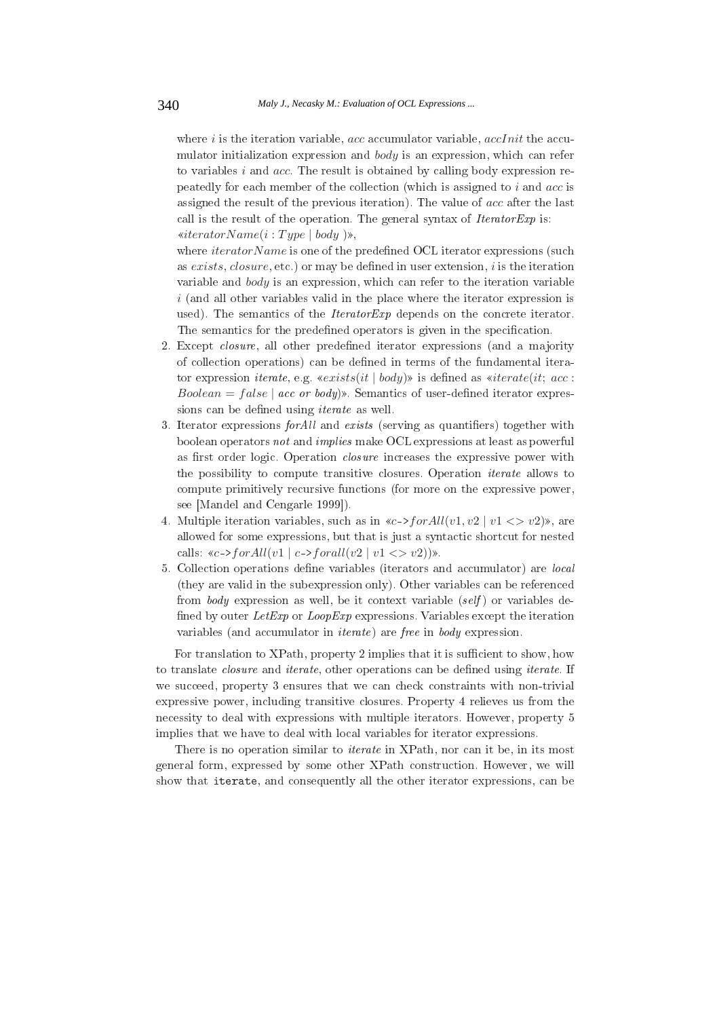where  $i$  is the iteration variable, acc accumulator variable, accInit the accumulator initialization expression and  $body$  is an expression, which can refer to variables  $i$  and  $acc$ . The result is obtained by calling body expression repeatedly for each member of the collection (which is assigned to  $i$  and  $acc$  is assigned the result of the previous iteration). The value of acc after the last call is the result of the operation. The general syntax of  $IteratorExp$  is:  $\kappa iteratorName(i:Type | body)$ ,

where  $iteratorName$  is one of the predefined OCL iterator expressions (such as exists, closure, etc.) or may be defined in user extension, i is the iteration variable and body is an expression, which can refer to the iteration variable  $i$  (and all other variables valid in the place where the iterator expression is used). The semantics of the *IteratorExp* depends on the concrete iterator. The semantics for the predefined operators is given in the specification.

- 2. Except *closure*, all other predefined iterator expressions (and a majority of collection operations) can be defined in terms of the fundamental iterator expression *iterate*, e.g.  $\langle \text{exists}(it | body) \rangle$  is defined as  $\langle \text{distance}(it; acc) \rangle$  $Boolean = false \mid acc \text{ or } body)$ . Semantics of user-defined iterator expressions can be defined using *iterate* as well.
- 3. Iterator expressions *for All* and exists (serving as quantifiers) together with boolean operators not and *implies* make OCL expressions at least as powerful as first order logic. Operation *closure* increases the expressive power with the possibility to compute transitive closures. Operation *iterate* allows to compute primitively recursive functions (for more on the expressive power, see [Mandel and Cengarle 1999]).
- 4. Multiple iteration variables, such as in  $\lll$ ->forAll(v1, v2 | v1 <> v2)», are allowed for some expressions, but that is just a syntactic shortcut for nested calls:  $\langle c-1\rangle$  call  $\langle v1|$  c->forall  $\langle v2|v1 \langle v2|v \rangle$ .
- 5. Collection operations define variables (iterators and accumulator) are *local* (they are valid in the subexpression only). Other variables can be referenced from body expression as well, be it context variable (self) or variables defined by outer LetExp or LoopExp expressions. Variables except the iteration variables (and accumulator in *iterate*) are *free* in *body* expression.

For translation to XPath, property 2 implies that it is sufficient to show, how to translate *closure* and *iterate*, other operations can be defined using *iterate*. If we succeed, property 3 ensures that we can check constraints with non-trivial expressive power, including transitive closures. Property 4 relieves us from the necessity to deal with expressions with multiple iterators. However, property 5 implies that we have to deal with local variables for iterator expressions.

There is no operation similar to *iterate* in XPath, nor can it be, in its most general form, expressed by some other XPath construction. However, we will show that iterate, and consequently all the other iterator expressions, can be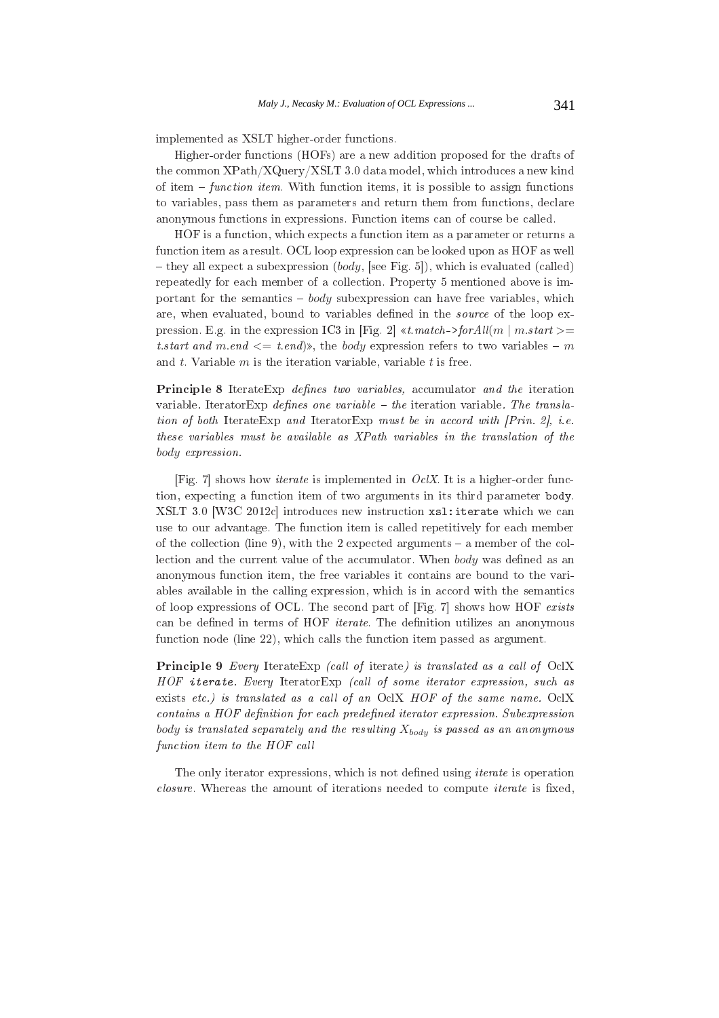implemented as XSLT higher-order functions.

Higher-order functions (HOFs) are a new addition proposed for the drafts of the common XPath/XQuery/XSLT 3.0 data model, which introduces a new kind of item  $-$  function item. With function items, it is possible to assign functions to variables, pass them as parameters and return them from functions, declare anonymous functions in expressions. Function items can of course be called.

HOF is a function, which expects a function item as a parameter or returns a function item as a result. OCL loop expression can be looked upon as HOF as well - they all expect a subexpression (*body*, [see Fig. 5]), which is evaluated (called) repeatedly for each member of a collection. Property 5 mentioned above is important for the semantics  $-$  body subexpression can have free variables, which are, when evaluated, bound to variables defined in the *source* of the loop expression. E.g. in the expression IC3 in [Fig. 2]  $\kappa t.match$  > for All(m | m.start > = *t.start and m.end*  $\leq$  *t.end*)», the *body* expression refers to two variables – m and  $t$ . Variable  $m$  is the iteration variable, variable  $t$  is free.

Principle 8 IterateExp *defines two variables*, accumulator and the iteration variable. Iterator Exp defines one variable – the iteration variable. The translation of both IterateExp and IteratorExp must be in accord with [Prin. 2], i.e. these variables must be available as XPath variables in the translation of the body expression.

[Fig. 7] shows how *iterate* is implemented in  $Oc/X$ . It is a higher-order function, expecting a function item of two arguments in its third parameter body. XSLT 3.0 [W3C 2012c] introduces new instruction xs1: iterate which we can use to our advantage. The function item is called repetitively for each member of the collection (line 9), with the 2 expected arguments  $-$  a member of the collection and the current value of the accumulator. When body was defined as an anonymous function item, the free variables it contains are bound to the variables available in the calling expression, which is in accord with the semantics of loop expressions of OCL. The second part of [Fig. 7] shows how HOF exists can be defined in terms of HOF *iterate*. The definition utilizes an anonymous function node (line 22), which calls the function item passed as argument.

Principle 9 Every IterateExp (call of iterate) is translated as a call of OclX HOF iterate. Every IteratorExp (call of some iterator expression, such as exists etc.) is translated as a call of an OclX HOF of the same name. OclX contains a HOF definition for each predefined iterator expression. Subexpression body is translated separately and the resulting  $X_{body}$  is passed as an anonymous function item to the HOF call

The only iterator expressions, which is not defined using *iterate* is operation closure. Whereas the amount of iterations needed to compute *iterate* is fixed,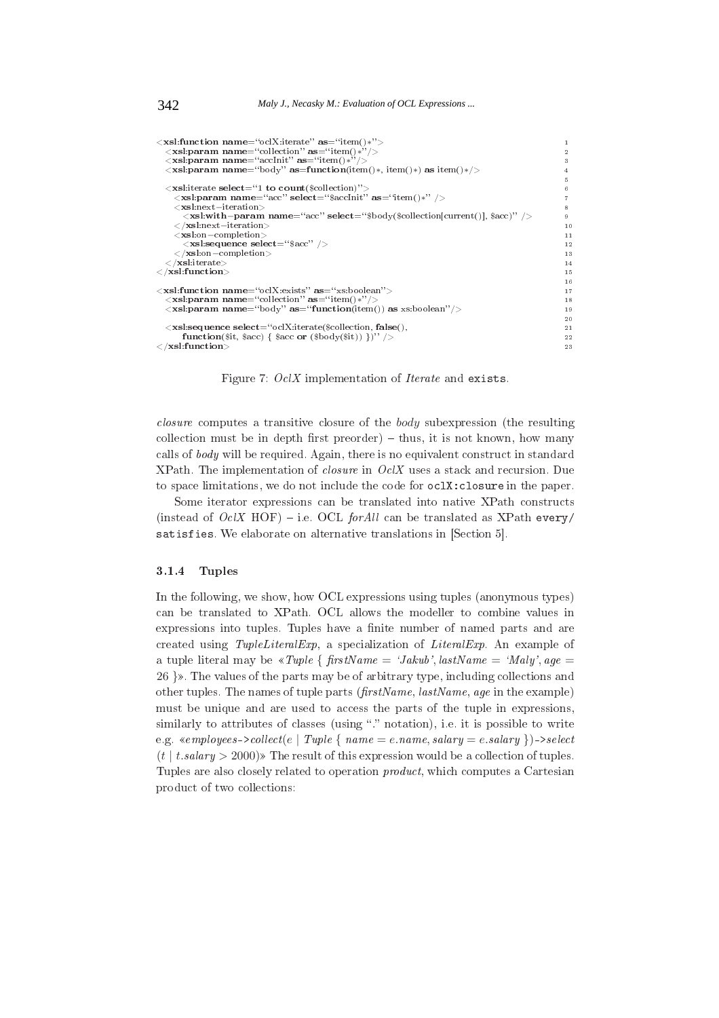```
<xsl:function name="oclX:iterate" as="item()*">
   \langle x\mathbf{s}l:\mathbf{p}aram name="collection" as="item()*<br>
\langle x\mathbf{s}l:\mathbf{p}aram name="collection" as="item()*
                                                                                                                                                                                     \overline{2}\mathbf{R}\langle xsl.param name="body" as=function(item(\)*, item(\)*) as item(\)*/>\langlexsl:iterate select="1 to count($collection);
        \leqxsl:param name="acc" select="$accInit" as="item()*" />
       \langle \mathbf{x} \mathbf{s} \mathbf{l}: \mathbf{n} \text{ex} \mathbf{t} - \mathbf{i} \mathbf{t} \text{eration} \rangle<xsl:with-param name="acc" select="$body($collection[current()], $acc)" />
        \langle /xsl:next-iteration>
                                                                                                                                                                                       10\langlexsl:on-completion>
                                                                                                                                                                                      11\langlexsl:sequence select="$acc" />
                                                                                                                                                                                       12\langle \mathbf{x}|\mathbf{s}|\mathbf{s}:on-completion>^{13}\epsilon/vel·iterate\sim14\langle /xsl:function>
                                                                                                                                                                                      1516\label{eq:1} \begin{array}{ll} \mbox{<} \textbf{x} \textbf{s}! \textbf{function name} \text{=} ``\text{oclX}\text{:exists'} \text{ as} \text{=} ``\text{xs:boolean''}>\\ \mbox{<} \textbf{x} \textbf{s}! \textbf{param name} \text{=} ``\text{collection''} \text{ as} \text{=} ``\text{item}() * \text{?'}>\\ \mbox{<} \textbf{x} \textbf{s}! \textbf{param name} \text{=} ``\text{body''} \text{ as} \text{=} ``\textbf{function}(\text{item}()) \text{ as } \text{xs:boolean''}> \end{array}1718
                                                                                                                                                                                      19
    \langlexsl:sequence select="oclX:iterate($collection false()
                                                                                                                                                                                      21function($it, $acc) { $acc or ($body($it)) })" /
                                                                                                                                                                                      22
\langle xsl:function\rangle23
```
Figure 7: OclX implementation of *Iterate* and exists.

*closure* computes a transitive closure of the *body* subexpression (the resulting collection must be in depth first preorder) – thus, it is not known, how many calls of *body* will be required. Again, there is no equivalent construct in standard XPath. The implementation of *closure* in  $Oc/X$  uses a stack and recursion. Due to space limitations, we do not include the code for oclX: closure in the paper.

Some iterator expressions can be translated into native XPath constructs (instead of  $OcIX$  HOF) – i.e. OCL for All can be translated as XPath every/ satisfies. We elaborate on alternative translations in [Section 5].

### **Tuples** 3.1.4

In the following, we show, how OCL expressions using tuples (anonymous types) can be translated to XPath. OCL allows the modeller to combine values in expressions into tuples. Tuples have a finite number of named parts and are created using TupleLiteralExp. a specialization of LiteralExp. An example of a tuple literal may be  $\angle$  *s*Tuple { firstName = 'Jakub', lastName = 'Maly', age = 26 }». The values of the parts may be of arbitrary type, including collections and other tuples. The names of tuple parts ( $firstName$ ,  $lastName$ ,  $age$  in the example) must be unique and are used to access the parts of the tuple in expressions, similarly to attributes of classes (using "." notation), i.e. it is possible to write e.g. «employees->collect(e | Tuple {  $name = e.name$ , salary = e.salary })->select  $(t \mid t.salary > 2000)$  The result of this expression would be a collection of tuples. Tuples are also closely related to operation *product*, which computes a Cartesian product of two collections:

342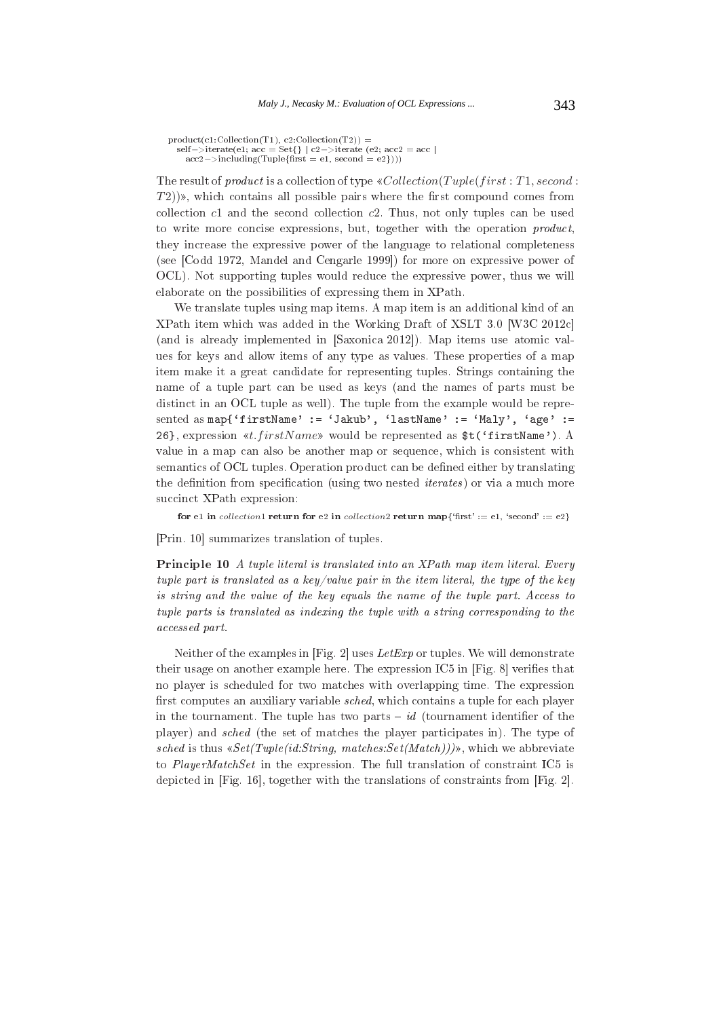```
\begin{array}{l} \text{product}(\text{c1:Collection(T1)}, \text{c2:Collection(T2)}) = \\ \text{self->} \text{iterate}(e1; \text{acc} = \text{Set}\{\} \mid \text{c2-}> \text{iterate}(e2; \text{acc2} = \text{acc} \mid \\ \text{acc2-}> \text{including}(\text{Tuple}\{\text{first} = \text{e1}, \text{second} = \text{e2}\}))) \end{array}
```
The result of *product* is a collection of type  $\ll$  *Collection*(*Tuple*(*first*: *T*1, *second*:  $(T2)$ )», which contains all possible pairs where the first compound comes from collection  $c1$  and the second collection  $c2$ . Thus, not only tuples can be used to write more concise expressions, but, together with the operation *product*, they increase the expressive power of the language to relational completeness (see [Codd 1972, Mandel and Cengarle 1999]) for more on expressive power of OCL). Not supporting tuples would reduce the expressive power, thus we will elaborate on the possibilities of expressing them in XPath.

We translate tuples using map items. A map item is an additional kind of an XPath item which was added in the Working Draft of XSLT 3.0 [W3C 2012c] (and is already implemented in [Saxonica 2012]). Map items use atomic values for keys and allow items of any type as values. These properties of a map item make it a great candidate for representing tuples. Strings containing the name of a tuple part can be used as keys (and the names of parts must be distinct in an OCL tuple as well). The tuple from the example would be represented as map{'firstName' := 'Jakub', 'lastName' := 'Maly', 'age' := 26}, expression «t.firstName» would be represented as \$t('firstName'). A value in a map can also be another map or sequence, which is consistent with semantics of OCL tuples. Operation product can be defined either by translating the definition from specification (using two nested *iterates*) or via a much more succinct XPath expression:

for el in collection1 return for e2 in collection2 return map{'first' := e1, 'second' := e2}

[Prin. 10] summarizes translation of tuples.

**Principle 10** A tuple literal is translated into an XPath map item literal. Every tuple part is translated as a key/value pair in the item literal, the type of the key is string and the value of the key equals the name of the tuple part. Access to tuple parts is translated as indexing the tuple with a string corresponding to the accessed part.

Neither of the examples in [Fig. 2] uses Let Exp or tuples. We will demonstrate their usage on another example here. The expression IC5 in [Fig. 8] verifies that no player is scheduled for two matches with overlapping time. The expression first computes an auxiliary variable *sched*, which contains a tuple for each player in the tournament. The tuple has two parts  $- id$  (tournament identifier of the player) and *sched* (the set of matches the player participates in). The type of sched is thus  $\kappa Set(Tuple(id:String, \text{matches}:Set(Match)))\$ , which we abbreviate to PlayerMatchSet in the expression. The full translation of constraint IC5 is depicted in [Fig. 16], together with the translations of constraints from [Fig. 2].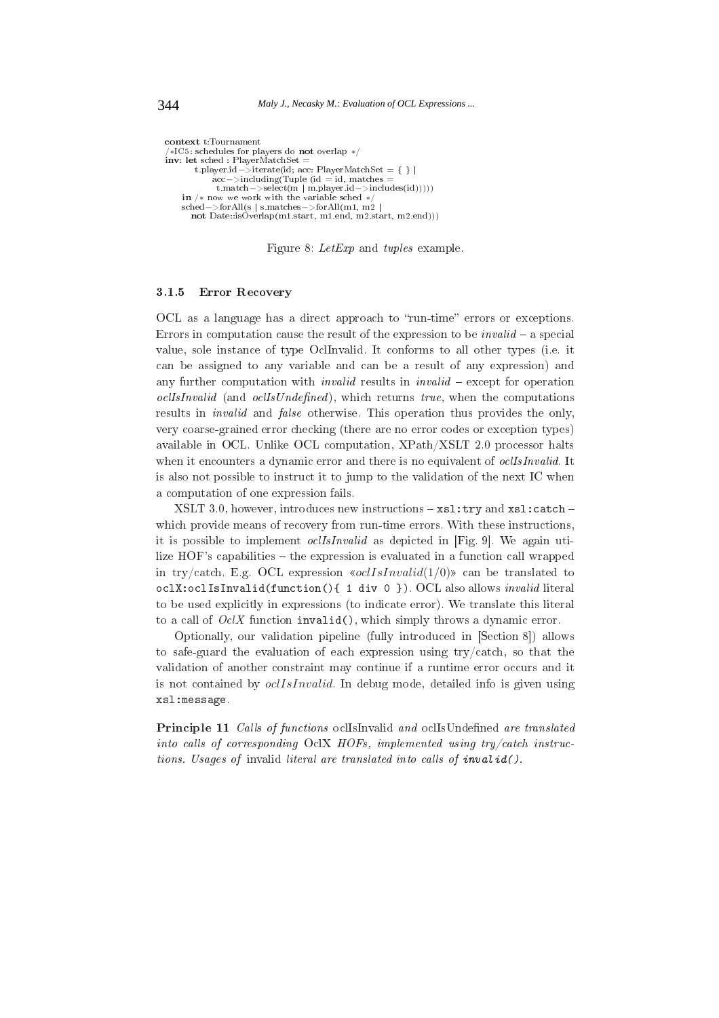```
context t:Tournament
 *\text{IC5: schedules for players do not overlap }*/inv: let sched : PlayerMatchSet =
        t.player.id->iterate(id; acc: PlayerMatchSet = { } |
            acc->including(Tuple (id = id, matches
    t.match ->select(m | m.player.id->includes(id)))))<br>in /* now we work with the variable sched */
    \text{sched} ->for All(s | s.matches ->for All(m1, m2)
       not Date::isOverlap(m1.start, m1.end, m2.start, m2.end)))
```
Figure 8: LetExp and tuples example.

#### $3.1.5$ **Error Recovery**

OCL as a language has a direct approach to "run-time" errors or exceptions. Errors in computation cause the result of the expression to be *invalid*  $-$  a special value, sole instance of type OclInvalid. It conforms to all other types (i.e. it can be assigned to any variable and can be a result of any expression) and any further computation with *invalid* results in *invalid* – except for operation *oclIsInvalid* (and *oclIsUndefined*), which returns true, when the computations results in *invalid* and *false* otherwise. This operation thus provides the only, very coarse-grained error checking (there are no error codes or exception types) available in OCL. Unlike OCL computation, XPath/XSLT 2.0 processor halts when it encounters a dynamic error and there is no equivalent of *oclisinvalid*. It is also not possible to instruct it to jump to the validation of the next IC when a computation of one expression fails.

XSLT 3.0, however, introduces new instructions - xsl:try and xsl:catch which provide means of recovery from run-time errors. With these instructions, it is possible to implement *oclIsInvalid* as depicted in [Fig. 9]. We again utilize HOF's capabilities – the expression is evaluated in a function call wrapped in try/catch. E.g. OCL expression  $\infty$ clsInvalid(1/0) can be translated to oclX:oclIsInvalid(function(){ 1 div 0 }). OCL also allows invalid literal to be used explicitly in expressions (to indicate error). We translate this literal to a call of  $Oc/X$  function invalid(), which simply throws a dynamic error.

Optionally, our validation pipeline (fully introduced in [Section 8]) allows to safe-guard the evaluation of each expression using  $try/catch$ , so that the validation of another constraint may continue if a runtime error occurs and it is not contained by *oclIsInvalid*. In debug mode, detailed info is given using xsl:message.

Principle 11 Calls of functions ocllsInvalid and ocllsUndefined are translated into calls of corresponding  $OcIX$  HOFs, implemented using try/catch instructions. Usages of invalid literal are translated into calls of invalid().

344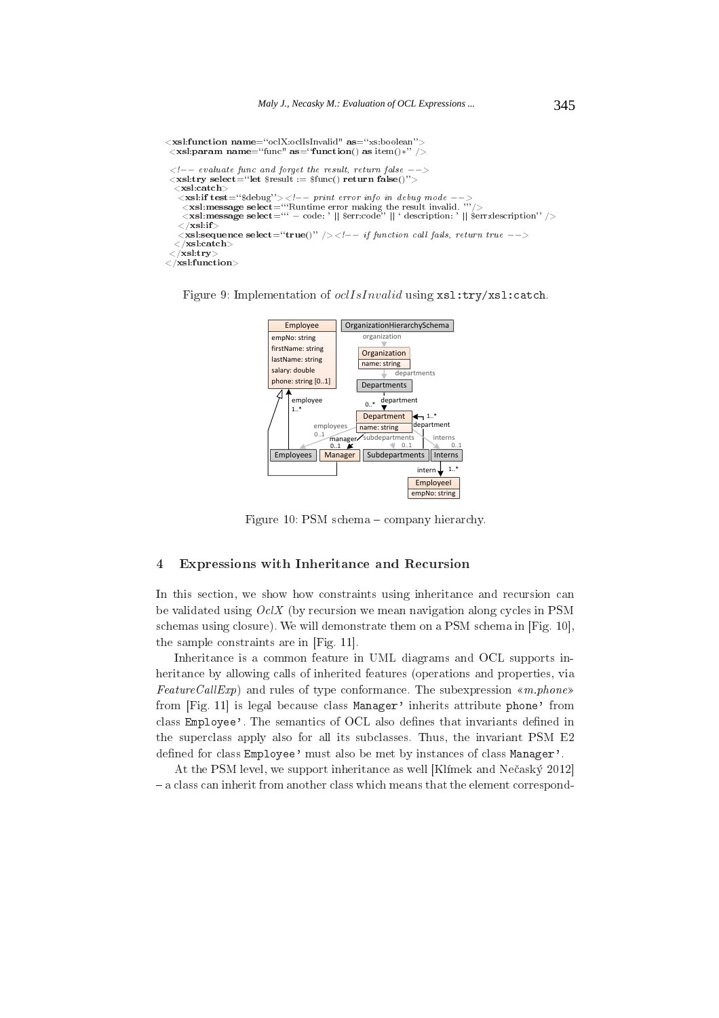```
<xsl:function name="oclX:oclIsInvalid" as="xs:boolean">
  \left\langle x\right\rangle is the same set of the set of the set of the set of \left(x\right) as item()*'' />
  \langle -\rangle evaluate func and forget the result, return false
                                                                                                  \left. - \right.\langle \mathbf{x} \mathbf{s} \mathbf{l} : \mathbf{try} \ \mathbf{select} = \text{``let } \s result := \text{flunc}() return false()">
   \langlexsl:catch\ranglexsi:ucu.<br>
<xsl:if test="$debug"><!-- print error info in debug mode --><br>
<xsl:message select=""Runtime error making the result invalid. ""/>
       \lexsl:message select="" - code: '|| $err:code" || ' description: '|| $err:description" />
     \langle xsl:if
     \langle x, x \rangle is that \langle x, x \rangle is the select = "true()" /> \langle x, x \rangle function call fails, return true -- >
   \langle xsl:catch \rangle\langle \sqrt{{\bf x}} {\bf s} {\bf l} . {\bf t} {\bf r} {\bf y} \rangle\langle /xsl:function>
```


Figure 9: Implementation of *oclIsInvalid* using  $xs1:try/xs1:catch.$ 

Figure 10: PSM schema - company hierarchy.

# $\overline{4}$ Expressions with Inheritance and Recursion

In this section, we show how constraints using inheritance and recursion can be validated using  $OcX$  (by recursion we mean navigation along cycles in PSM schemas using closure). We will demonstrate them on a PSM schema in [Fig. 10], the sample constraints are in [Fig. 11].

Inheritance is a common feature in UML diagrams and OCL supports inheritance by allowing calls of inherited features (operations and properties, via  $FeatureCallExp)$  and rules of type conformance. The subexpression «m.phone» from [Fig. 11] is legal because class Manager' inherits attribute phone' from class Employee'. The semantics of OCL also defines that invariants defined in the superclass apply also for all its subclasses. Thus, the invariant PSM E2 defined for class Employee' must also be met by instances of class Manager'.

At the PSM level, we support inheritance as well [Klimek and Nečaský 2012] - a class can inherit from another class which means that the element correspond-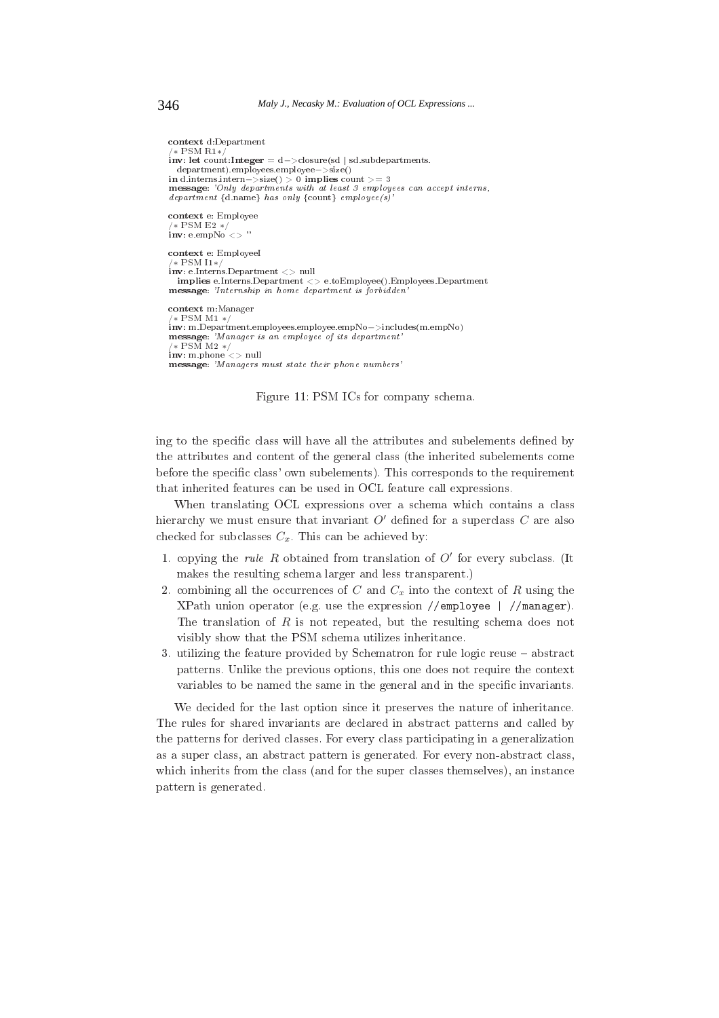```
context d:Department
 * PSM R<sub>1</sub>*inv: let count:Integer = d ->closure(sd | sd subdepartments
department).employees.employee->size()<br>in d.interns.intern->size() > 0 implies count >= 3<br>message: 'Only departments with at least 3 employees can accept interns,
department {d.name} has only {count} employee(s)
context e: Employee
/* PSM E2 */<br>inv: e.empNo <> '
context e: Employeel
 * PSM 1*\lim_{x \to \infty}: e.Interns.Department <> null
  implies e.Interns.Department <> e.toEmployee().Employees.Department
message: 'Internship in home department is forbidden
context m:Manager
  k PSM M1 *inv: m.Department.employees.employee.empNo->includes(m.empNo)
message: 'Manager is an employee of its department'
 * PSM M2 */\frac{1}{2} inv: m.phone \langle > null
```
message: 'Managers must state their phone numbers'



ing to the specific class will have all the attributes and subelements defined by the attributes and content of the general class (the inherited subelements come before the specific class' own subelements). This corresponds to the requirement that inherited features can be used in OCL feature call expressions.

When translating OCL expressions over a schema which contains a class hierarchy we must ensure that invariant  $O'$  defined for a superclass  $C$  are also checked for subclasses  $C_x$ . This can be achieved by:

- 1. copying the *rule R* obtained from translation of  $O'$  for every subclass. (It makes the resulting schema larger and less transparent.)
- 2. combining all the occurrences of C and  $C_x$  into the context of R using the XPath union operator (e.g. use the expression //employee | //manager). The translation of  $R$  is not repeated, but the resulting schema does not visibly show that the PSM schema utilizes inheritance.
- 3. utilizing the feature provided by Schematron for rule logic reuse  $-$  abstract patterns. Unlike the previous options, this one does not require the context variables to be named the same in the general and in the specific invariants.

We decided for the last option since it preserves the nature of inheritance. The rules for shared invariants are declared in abstract patterns and called by the patterns for derived classes. For every class participating in a generalization as a super class, an abstract pattern is generated. For every non-abstract class, which inherits from the class (and for the super classes themselves), an instance pattern is generated.

346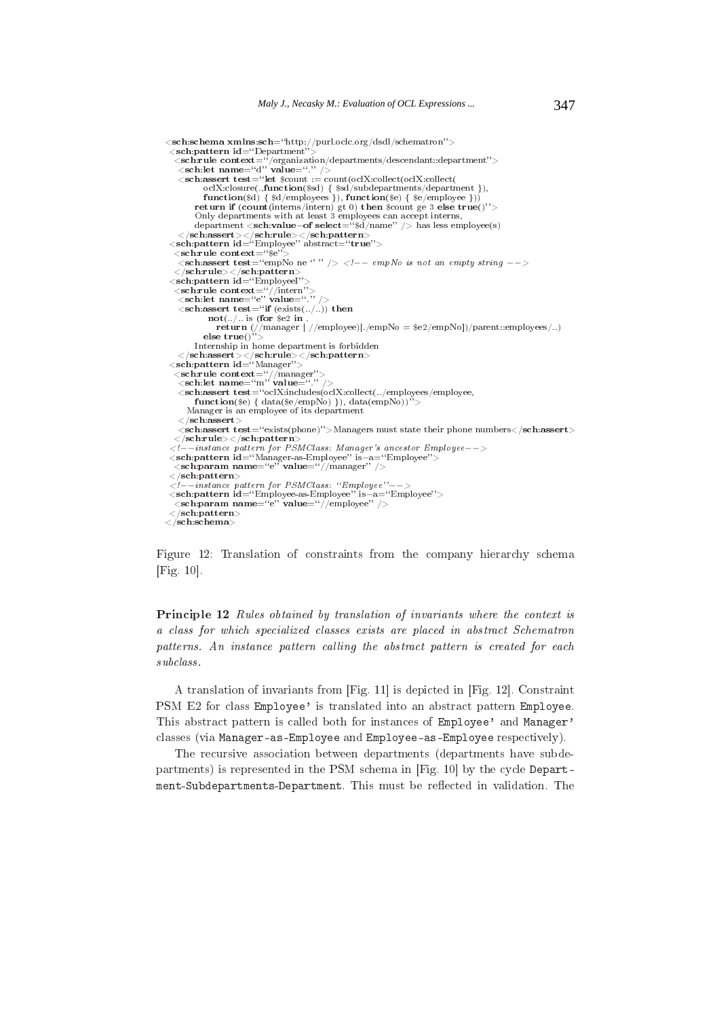```
<{\bf sch:} {\bf schema \; {\bf xmlns:} sch = ``http://purl.oclc.org/dsdl/schematron"}>\lesch:pattern id="Department"><br>
\lesch:pattern id="Department"><br>
\lesch:rule context="/organization/departments/descendant::department"><br>
\lesch:let name="d" value="."/>
    \leqsch:assert test="let $count := count(oclX:collect(oclX:collect(
             oclX:closure(.,function($sd) { $sd/subdepartments/department }),<br>function($d) { $d/employees }), function($e) { $e/employee }))
           return if (count(intern) gt 0) then scount ge 3 else true()">
          Only departments with at least 3 employees can accept interns,
 department <sch:value-of select="\frac{6}{3}/name" /> has less employee(s)<br></sch:assert></sch:rule></sch:pattern><br><sch:pattern> <sch:pattern id="Employee" abstract="true">
  \leqsch:rule context="8e"><br>
\leqsch:rule context="8e"><br>
\leqsch:assert test="empNo ne '' '' /> <!-- empNo is not an empty string -->
   \langle/sch:rule\rangle\langle/sch:pattern\rangle<sch:pattern id="Employeel">
   \langle \textbf{sch}:\textbf{rule} \ \textbf{context} = ``//\textbf{inter}''\rangle\langle \textbf{sch}:\textbf{let name} = ``\textbf{``'}\rangle\lesch:assert test="if (exists(...)) then
              not(.../.. is (for \$e2 in
                 ret urn (//manager | //employee)[./empNo = $e2/empNo])/parent::employees/..)
             else true()
          Internship in home department is forbidden
 </sch:assert></sch:rule></sch:pattern><br>
<sch:pattern><br>
<sch:pattern id="Manager">
   \frac{1}{\sinh 2}<br>
\frac{1}{\sinh 2} \frac{1}{\sinh 2} \frac{1}{\sinh 2} \frac{1}{\sinh 2} \frac{1}{\sinh 2} \frac{1}{\sinh 2} \frac{1}{\sinh 2} \frac{1}{\sinh 2}<sch:assert test="oclX:includes(oclX:collect(../employees/employee,
          function($e) { data($e/empNo) }), data(empNo))">
       Manager is an employee of its department
    \langle/sch:assert
    <sch:assert test="exists(phone)">Managers must state their phone numbers</sch:assert>
   \langle/sch:rule\rangle\langle/sch:pattern
 \langle/scn:rue\angle/scn:.paar.een./sm/ander/sm/ander/sm/ander/sm/ander/sm/ander/sm/ander/sm/ander/sm/ander/sm/ander/sch:pattern id="Manager-as-Employee")><br>
\langlesch:pattern id="Manager-as-Employee" is-a="Employee"><br>
\langlesch:p
 \langle/sch:pattern\rangle\langle -\frac{1}{2}, \frac{1}{2}, \ldots \rangle and \langle -\frac{1}{2}, \ldots \rangle and \langle -\frac{1}{2}, \ldots \rangle\langle/sch:pattern\rangle\langle/sch:schema\rangle
```
Figure 12: Translation of constraints from the company hierarchy schema  $[Fig. 10].$ 

**Principle 12** Rules obtained by translation of invariants where the context is a class for which specialized classes exists are placed in abstract Schematron patterns. An instance pattern calling the abstract pattern is created for each  $subclass.$ 

A translation of invariants from [Fig. 11] is depicted in [Fig. 12]. Constraint PSM E2 for class Employee' is translated into an abstract pattern Employee. This abstract pattern is called both for instances of Employee' and Manager' classes (via Manager-as-Employee and Employee-as-Employee respectively).

The recursive association between departments (departments have subdepartments) is represented in the PSM schema in [Fig. 10] by the cycle Department-Subdepartments-Department. This must be reflected in validation. The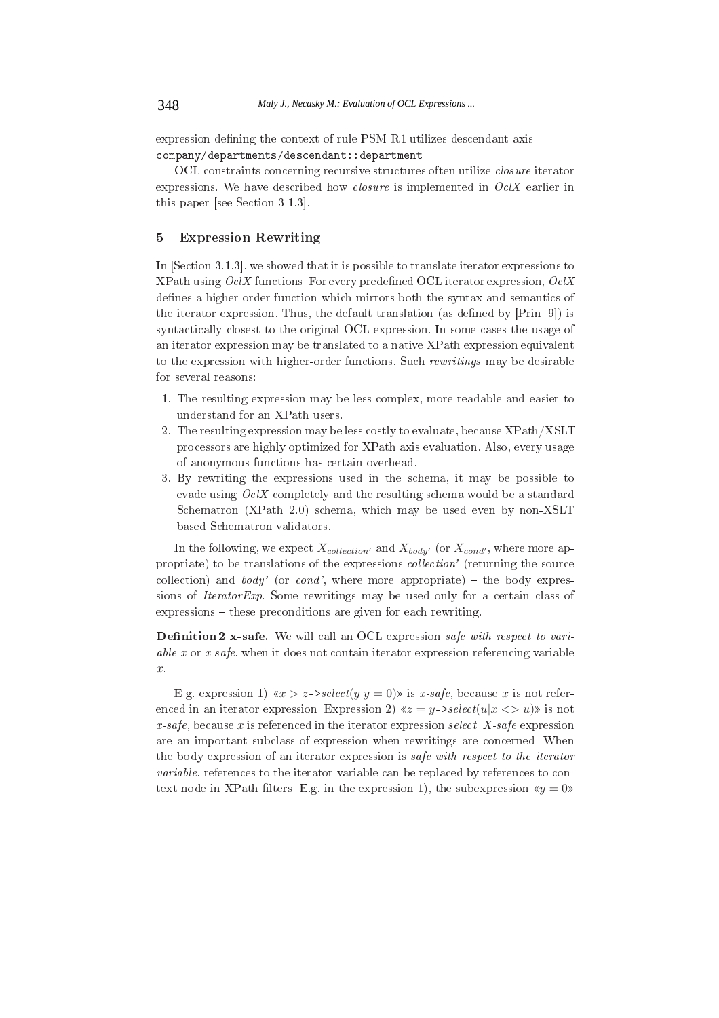expression defining the context of rule PSM R1 utilizes descendant axis: company/departments/descendant:: department

OCL constraints concerning recursive structures often utilize *closure* iterator expressions. We have described how *closure* is implemented in  $Oc/X$  earlier in this paper [see Section 3.1.3].

# **Expression Rewriting**  $\overline{5}$

In [Section 3.1.3], we showed that it is possible to translate iterator expressions to XPath using  $Oc/X$  functions. For every predefined OCL iterator expression,  $Oc/X$ defines a higher-order function which mirrors both the syntax and semantics of the iterator expression. Thus, the default translation (as defined by [Prin. 9]) is syntactically closest to the original OCL expression. In some cases the usage of an iterator expression may be translated to a native XPath expression equivalent to the expression with higher-order functions. Such rewritings may be desirable for several reasons:

- 1. The resulting expression may be less complex, more readable and easier to understand for an XPath users.
- 2. The resulting expression may be less costly to evaluate, because XPath/XSLT processors are highly optimized for XPath axis evaluation. Also, every usage of anonymous functions has certain overhead.
- 3. By rewriting the expressions used in the schema, it may be possible to evade using  $Oc/X$  completely and the resulting schema would be a standard Schematron (XPath 2.0) schema, which may be used even by non-XSLT based Schematron validators.

In the following, we expect  $X_{collection'}$  and  $X_{body'}$  (or  $X_{cond'}$ , where more appropriate) to be translations of the expressions *collection*' (returning the source collection) and *body* (or *cond*', where more appropriate) – the body expressions of *IteratorExp*. Some rewritings may be used only for a certain class of  $expressions - these preconditions are given for each rewriting.$ 

**Definition 2 x-safe.** We will call an OCL expression safe with respect to variable  $x$  or  $x$ -safe, when it does not contain iterator expression referencing variable  $\overline{x}$ .

E.g. expression 1)  $\langle x \rangle$  z->select(y|y = 0) is x-safe, because x is not referenced in an iterator expression. Expression 2)  $\ll z = y$ ->select(u|x <> u) is not x-safe, because x is referenced in the iterator expression select. X-safe expression are an important subclass of expression when rewritings are concerned. When the body expression of an iterator expression is safe with respect to the iterator variable, references to the iterator variable can be replaced by references to context node in XPath filters. E.g. in the expression 1), the subexpression  $\langle y = 0 \rangle$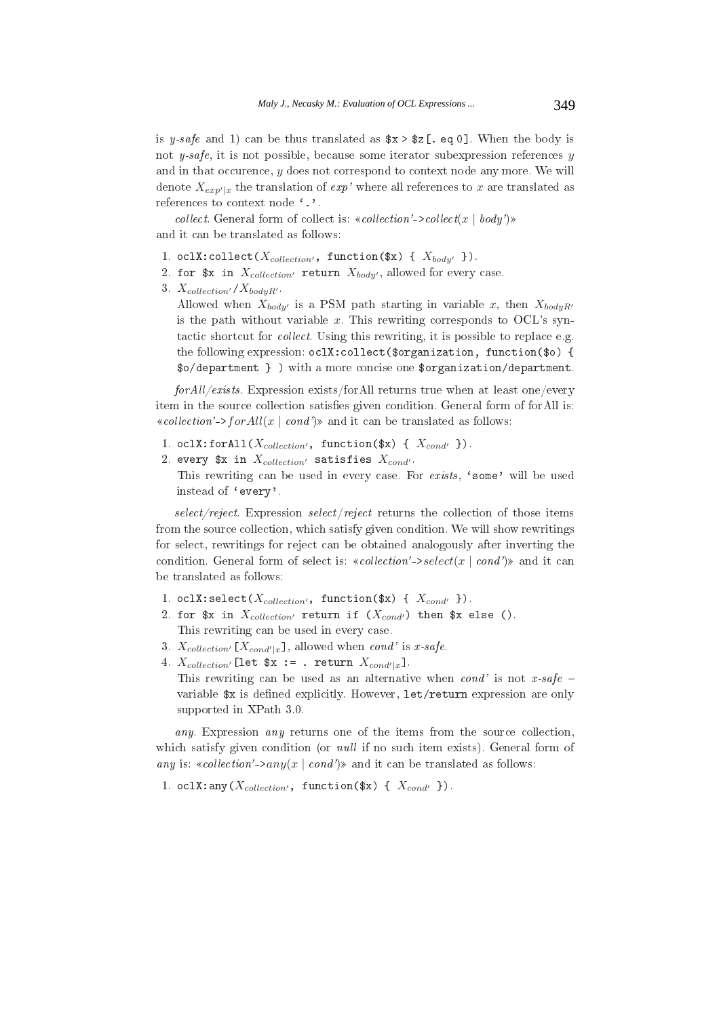is y-safe and 1) can be thus translated as  $x > z$ [. eq 0]. When the body is not  $y\text{-}safe$ , it is not possible, because some iterator subexpression references y and in that occurence,  $y$  does not correspond to context node any more. We will denote  $X_{exp'|x}$  the translation of  $exp'$  where all references to x are translated as references to context node '.'.

*collect.* General form of collect is: «collection'->collect(x | body')» and it can be translated as follows:

- 1. oclX:collect( $X_{collection'}$ , function(\$x) {  $X_{body'}$  }).
- 2. for  $x \in X_{collection'}$  return  $X_{body'}$ , allowed for every case.
- 3.  $X_{collection'} / X_{bodyR'}$ .

Allowed when  $X_{body}$  is a PSM path starting in variable x, then  $X_{bodyR}$ is the path without variable  $x$ . This rewriting corresponds to OCL's syntactic shortcut for collect. Using this rewriting, it is possible to replace e.g. the following expression: oclX: collect (\$organization, function (\$o) { \$o/department } ) with a more concise one \$organization/department.

for All/exists. Expression exists/for All returns true when at least one/every item in the source collection satisfies given condition. General form of for All is: «collection'->forAll(x | cond')» and it can be translated as follows:

- 1. oclX:forAll( $X_{collection'}$ , function(\$x) {  $X_{cond'}$  }).
- 2. every \$x in  $X_{collection'}$  satisfies  $X_{cond'}$ . This rewriting can be used in every case. For exists, 'some' will be used instead of 'every'.

 $select/reject.$  Expression  $select/reject$  returns the collection of those items from the source collection, which satisfy given condition. We will show rewritings for select, rewritings for reject can be obtained analogously after inverting the condition. General form of select is: «collection'->select(x | cond')» and it can be translated as follows:

- 1. oclX: select( $X_{collection'}$ , function(\$x) {  $X_{cond'}$  }).
- 2. for  $x \in X_{collection'}$  return if  $(X_{cond'})$  then  $x \in X$ . This rewriting can be used in every case.
- 3.  $X_{collection'}[X_{cond'|x}]$ , allowed when cond' is x-safe.
- 4.  $X_{collection'}$ [let \$x := . return  $X_{cond'|x}$ ]. This rewriting can be used as an alternative when cond' is not x-safe – variable \$x is defined explicitly. However, let/return expression are only supported in XPath 3.0.

any. Expression any returns one of the items from the source collection, which satisfy given condition (or *null* if no such item exists). General form of any is: «collection'->any(x | cond')» and it can be translated as follows:

1. oclX: any  $(X_{collection'}$ , function  $(\$x) \{X_{cond'}\}\)$ .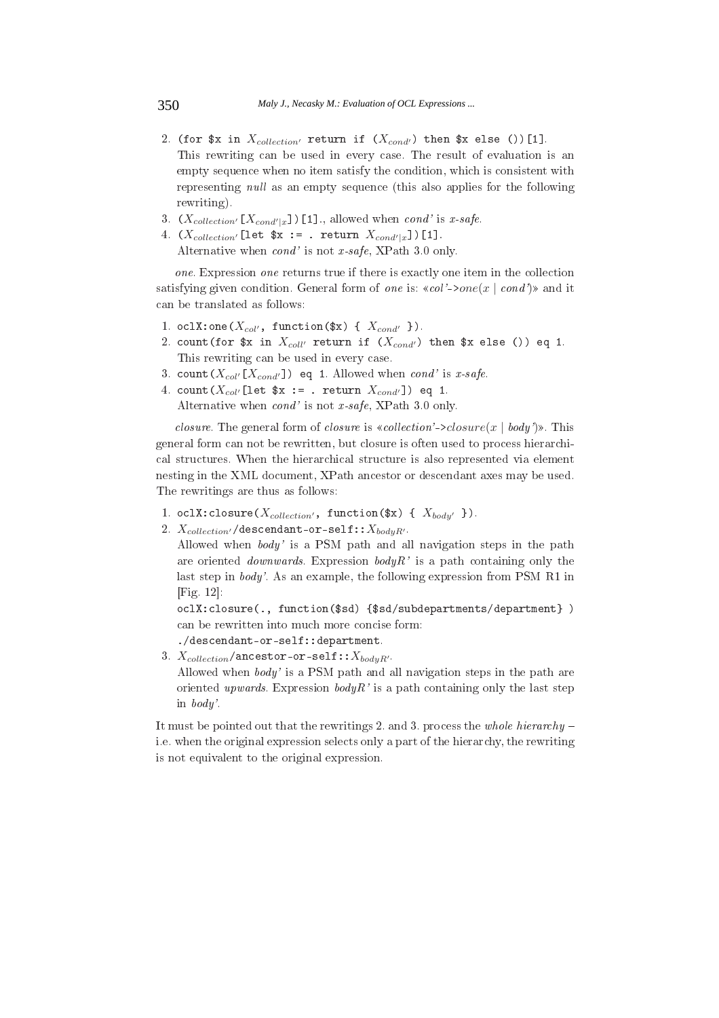- 2. (for \$x in  $X_{collection'}$  return if  $(X_{cond'})$  then \$x else ())[1]. This rewriting can be used in every case. The result of evaluation is an empty sequence when no item satisfy the condition, which is consistent with representing *null* as an empty sequence (this also applies for the following rewriting).
- 3.  $(X_{collection'}[X_{cond'|x}])$ [1], allowed when cond' is x-safe.
- 4.  $(X_{collection'}$ [let  $x :=$  . return  $X_{cond'|x}$ ])[1]. Alternative when  $cond'$  is not x-safe, XPath 3.0 only.

one. Expression one returns true if there is exactly one item in the collection satisfying given condition. General form of one is:  $\ll col'$ ->one(x | cond') and it can be translated as follows:

- 1. oclX:one( $X_{col'}$ , function(\$x) {  $X_{cond'}$  }).
- 2. count (for  $x$  in  $X_{coll'}$  return if  $(X_{cond'})$  then  $x$  else ()) eq 1. This rewriting can be used in every case.
- 3. count  $(X_{col'}[X_{cond'}])$  eq 1. Allowed when cond' is x-safe.
- 4. count  $(X_{col'}[let $x := . return X_{cond'}])$  eq 1. Alternative when  $cond'$  is not x-safe, XPath 3.0 only.

*closure.* The general form of *closure* is «*collection*'->*closure*(*x* | *body*)». This general form can not be rewritten, but closure is often used to process hierarchical structures. When the hierarchical structure is also represented via element nesting in the XML document, XPath ancestor or descendant axes may be used. The rewritings are thus as follows:

- 1. oclX: closure  $(X_{collection'}$ , function  $(\$x) \{X_{body'}\}\$ .
- 2.  $X_{collection'}$ /descendant-or-self:: $X_{bodyR'}$ .

Allowed when body' is a PSM path and all navigation steps in the path are oriented *downwards*. Expression  $bodyR$  is a path containing only the last step in  $body'$ . As an example, the following expression from PSM R1 in  $[Fig. 12]$ 

oclX:closure(., function(\$sd){\$sd/subdepartments/department}) can be rewritten into much more concise form:

 $./$ descendant-or-self:: department.

3.  $X_{collection}/\text{ancestor-or-self}: X_{bodyR}.$ Allowed when body' is a PSM path and all navigation steps in the path are oriented upwards. Expression body R' is a path containing only the last step in  $body'$ .

It must be pointed out that the rewritings 2, and 3, process the whole hierarchy – i.e. when the original expression selects only a part of the hierarchy, the rewriting is not equivalent to the original expression.

350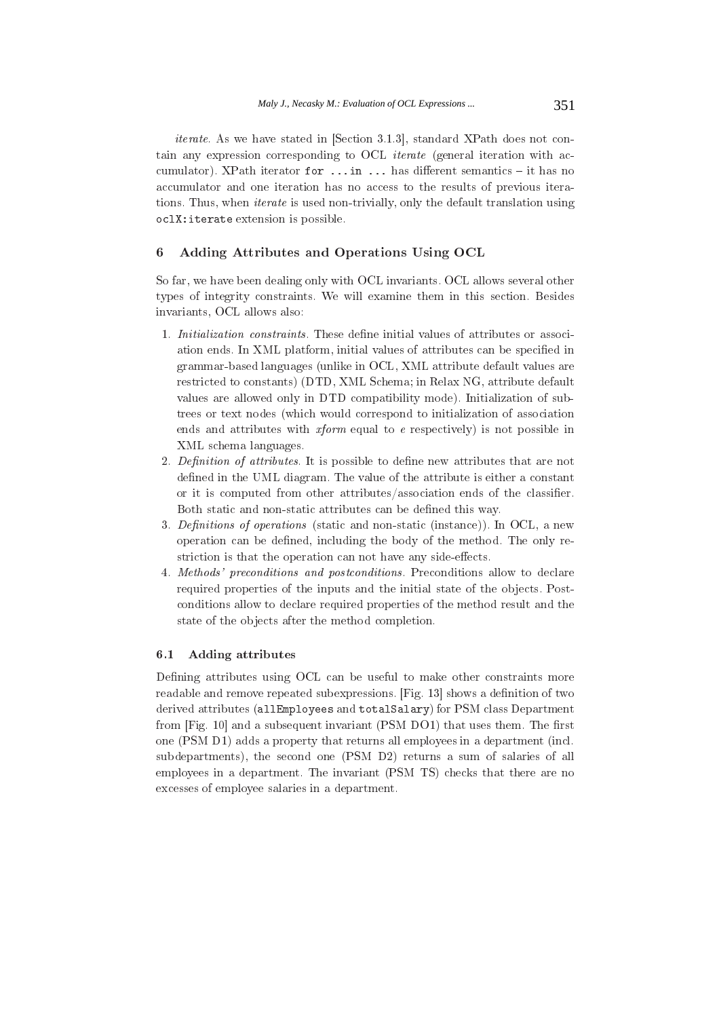*iterate.* As we have stated in [Section 3.1.3], standard XPath does not contain any expression corresponding to OCL *iterate* (general iteration with accumulator). XPath iterator for ... in ... has different semantics - it has no accumulator and one iteration has no access to the results of previous iterations. Thus, when *iterate* is used non-trivially, only the default translation using oclX: iterate extension is possible.

### $\boldsymbol{6}$ Adding Attributes and Operations Using OCL

So far, we have been dealing only with OCL invariants. OCL allows several other types of integrity constraints. We will examine them in this section. Besides invariants, OCL allows also:

- 1. Initialization constraints. These define initial values of attributes or association ends. In XML platform, initial values of attributes can be specified in grammar-based languages (unlike in OCL, XML attribute default values are restricted to constants) (DTD, XML Schema; in Relax NG, attribute default values are allowed only in DTD compatibility mode). Initialization of subtrees or text nodes (which would correspond to initialization of association ends and attributes with  $xform$  equal to e respectively) is not possible in XML schema languages.
- 2. Definition of attributes. It is possible to define new attributes that are not defined in the UML diagram. The value of the attribute is either a constant or it is computed from other attributes/association ends of the classifier. Both static and non-static attributes can be defined this way.
- 3. Definitions of operations (static and non-static (instance)). In OCL, a new operation can be defined, including the body of the method. The only restriction is that the operation can not have any side-effects.
- 4. Methods' preconditions and postconditions. Preconditions allow to declare required properties of the inputs and the initial state of the objects. Postconditions allow to declare required properties of the method result and the state of the objects after the method completion.

# **Adding attributes**  $6.1$

Defining attributes using OCL can be useful to make other constraints more readable and remove repeated subexpressions. [Fig. 13] shows a definition of two derived attributes (allEmployees and totalSalary) for PSM class Department from [Fig. 10] and a subsequent invariant (PSM DO1) that uses them. The first one (PSM D1) adds a property that returns all employees in a department (incl. subdepartments), the second one (PSM D2) returns a sum of salaries of all employees in a department. The invariant (PSM TS) checks that there are no excesses of employee salaries in a department.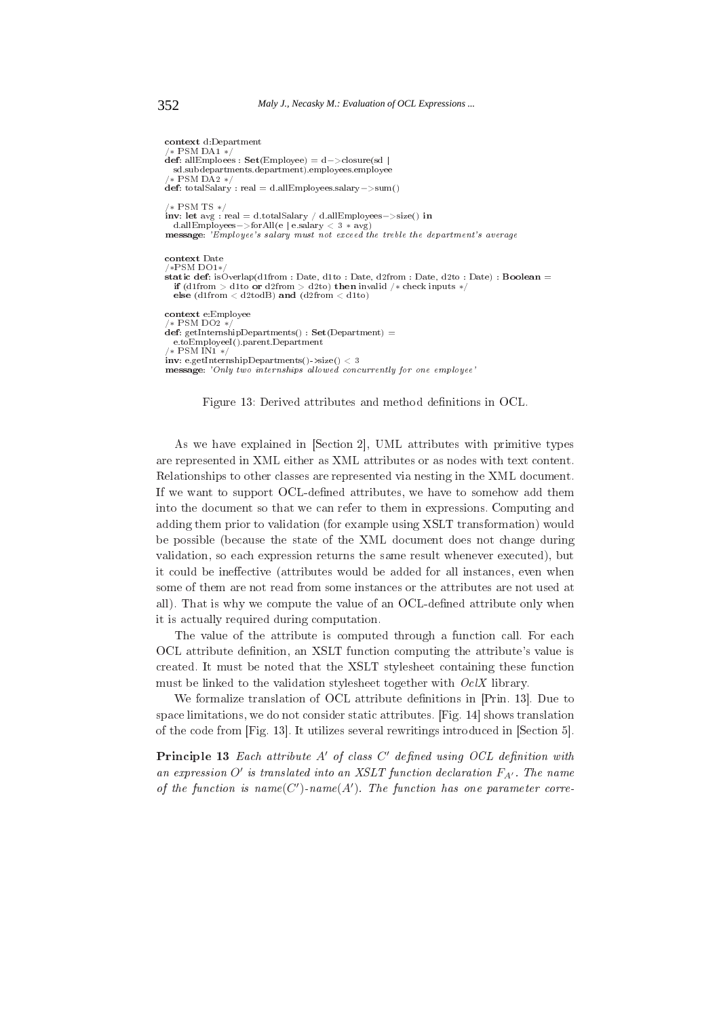```
context d:Department
  * PSM DA1*.
def: allEmploees : Set(Employee) = d - > closure(d)sd.subdepartments.department).employees.employee
  * PSM DA2 */def: totalSalary : real = d.allEmployees.salary ->sum()
/* PSM TS */inv: let avg: real = d.totalSalary / d.allEmployees->size() in
d.allEmployees->forAll(e|e.salary \langle 3 * avg \rangle<br>message: 'Employee's salary must not exceed the treble the department's average
context Date
/*PSM DO1*static def: isOverlap(d1from: Date, d1to: Date, d2from: Date, d2to: Date): Boolean =
  if (diffrom > dito or d2from > d2to) then invalid /* check inputs */<br>else (diffrom < d2todB) and (d2from < d1to)
context e:Employee
  * PSM DO2*def: getInternshipDepartments() : Set(Department) =
  e.toEmployeeI().parent.Department
 * PSM IN1*/
inv: e.e. et Internship Departments() ->size() < 3
message: 'Only two internships allowed concurrently for one employee'
```


As we have explained in [Section 2], UML attributes with primitive types are represented in XML either as XML attributes or as nodes with text content. Relationships to other classes are represented via nesting in the XML document. If we want to support OCL-defined attributes, we have to somehow add them into the document so that we can refer to them in expressions. Computing and adding them prior to validation (for example using XSLT transformation) would be possible (because the state of the XML document does not change during validation, so each expression returns the same result whenever executed), but it could be ineffective (attributes would be added for all instances, even when some of them are not read from some instances or the attributes are not used at all). That is why we compute the value of an OCL-defined attribute only when it is actually required during computation.

The value of the attribute is computed through a function call. For each OCL attribute definition, an XSLT function computing the attribute's value is created. It must be noted that the XSLT stylesheet containing these function must be linked to the validation stylesheet together with  $Oc/X$  library.

We formalize translation of OCL attribute definitions in [Prin. 13]. Due to space limitations, we do not consider static attributes. [Fig. 14] shows translation of the code from [Fig. 13]. It utilizes several rewritings introduced in [Section 5].

**Principle 13** Each attribute  $A'$  of class  $C'$  defined using  $OCL$  definition with an expression O' is translated into an XSLT function declaration  $F_{A'}$ . The name of the function is  $name(C')$ -name $(A')$ . The function has one parameter corre-

```
352
```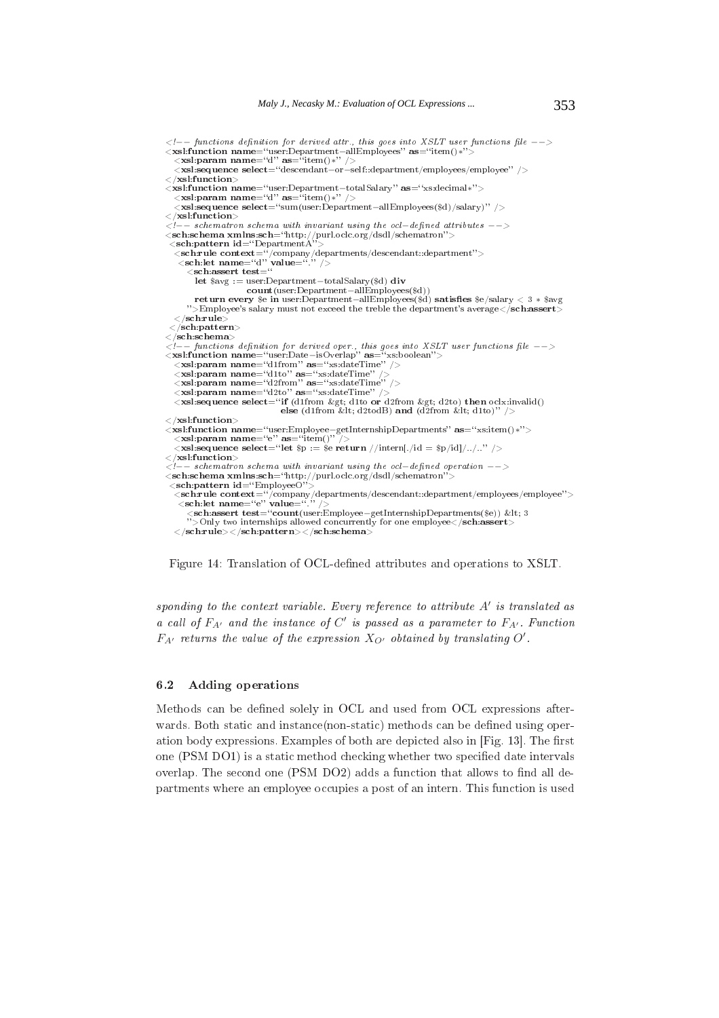```
\langle -\rangle functions definition for derived attr., this goes into XSLT user functions file \langle -\rangle\langlexsl:function name="user:Department-allEmployees" as="item()*"<br>
\langlexsl:param name="d" as="item()*" />
   \vec{<}xsl:sequence select="descendant-or-self::department/employees/employee" />
\langle /xsl:function>
//www.communitylectricalstatery/variation name="user:Department-totalSalary" as="xs:decimal*"><br>
<xsl:param name="d" as="item()*" />
   \langle xsl.sequence select="sum(user:Department-allEmployees($d)/salary)" />
\langle /xsl:function>
\zeta--schematron schema with invariant using the ocl-defined attributes --><br>
\zetasch:schema xmlns:sch="http://purl.oclc.org/dsdl/schematron"><br>
\zetasch:pattern id="DepartmentA">
  \frac{1}{\text{Sch. rule content}} context="/company/departments/descendant::department"><br>
\frac{1}{\text{Sch. let name}}"d" value="."/>
       <sch:assert\ensuremath{\mathbf{test}}\xspace = \overset{\sim}{\mathbf{H}}let s_{avg} := user:Department - totalSalary(Sd) div
                          count (user: Department-allEmployees ($d))
         return every $e in user:Department-allEmployees($d) satisfies $e/salary < 3 * $avg
      ">Employee's salary must not exceed the treble the department's average</sch:assert>
   \langle/sch:rule\rangle\langlesch:pattern\rangle\langle/sch:schema\rangle\langle xsl:param name="d1to" as="xs:dateTime" /><br>\langle xsl:param name="d2from" as="xs:dateTime" />
  xsl:param name="d2to" as="xs:dateTime"/><br>
<xsl:param name="d2to" as="xs:dateTime"/><br>
<xsl:sequence select="if (d1from &gt; d1to or d2from &gt; d2to) then oclx:invalid()
                                     else (d1from < d2todB) and (d2from &lt; d1to)" />
\langle /xsl:function>
\langle xsl:function name = ``user:Employee-getInternshipDepartments" as = ``xs:item()*''> \langle xsl:param name = ``e" as = ``item()" / \rangle\langlexsl:sequence select="let $p := $e return //intern[./id = $p/id]/../.." />
\mathopen{<} / \mathbf{x}sl:function\mathclose{>}\zeta--schematron schema with invariant using the ocl-defined operation --><br>
\zeta--sch:schema xmlns:sch="http://purl.oclc.org/dsdl/schematron"><br>
\zetasch:pattern id="EmployeeO">
  <schirule context="/company/departments/descendant::department/employees/employee"><br><sch:let name="e" value="." />
       scritte name="evalue="."/><br><sch:assert test="count(user:Employee–getInternshipDepartments($e)) &lt; 3<br>">Only two internships allowed concurrently for one employee</sch:assert>
```
Figure 14: Translation of OCL-defined attributes and operations to XSLT.

sponding to the context variable. Every reference to attribute  $A'$  is translated as a call of  $F_{A'}$  and the instance of C' is passed as a parameter to  $F_{A'}$ . Function  $F_{A'}$  returns the value of the expression  $X_{O'}$  obtained by translating O'.

#### $6.2$ **Adding operations**

Methods can be defined solely in OCL and used from OCL expressions afterwards. Both static and instance (non-static) methods can be defined using operation body expressions. Examples of both are depicted also in [Fig. 13]. The first one (PSM DO1) is a static method checking whether two specified date intervals overlap. The second one (PSM DO2) adds a function that allows to find all departments where an employee occupies a post of an intern. This function is used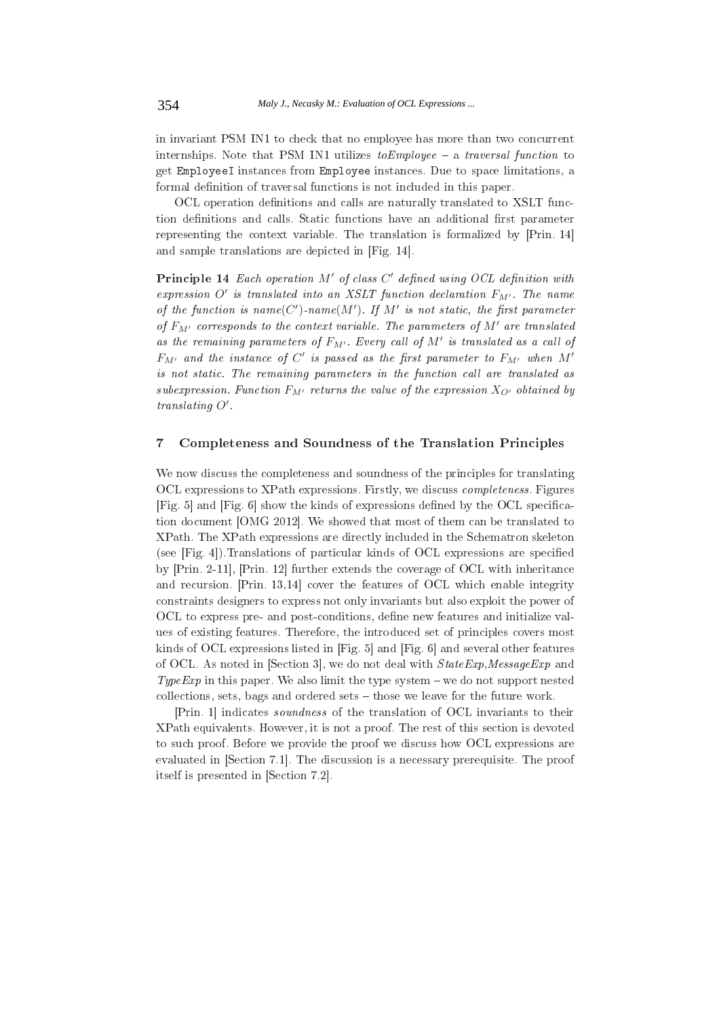in invariant PSM IN1 to check that no employee has more than two concurrent internships. Note that PSM IN1 utilizes  $toEmplope - a$  traversal function to get EmployeeI instances from Employee instances. Due to space limitations, a formal definition of traversal functions is not included in this paper.

OCL operation definitions and calls are naturally translated to XSLT function definitions and calls. Static functions have an additional first parameter representing the context variable. The translation is formalized by [Prin. 14] and sample translations are depicted in [Fig. 14].

Principle 14 Each operation M' of class C' defined using OCL definition with expression O' is translated into an XSLT function declaration  $F_{M'}$ . The name of the function is  $name(C')\text{-}name(M')$ . If M' is not static, the first parameter of  $F_{M'}$  corresponds to the context variable. The parameters of  $M'$  are translated as the remaining parameters of  $F_{M'}$ . Every call of M' is translated as a call of  $F_{M'}$  and the instance of C' is passed as the first parameter to  $F_{M'}$  when M' is not static. The remaining parameters in the function call are translated as subexpression. Function  $F_{M'}$  returns the value of the expression  $X_{O'}$  obtained by translating  $O'$ .

## $\overline{7}$ Completeness and Soundness of the Translation Principles

We now discuss the completeness and soundness of the principles for translating OCL expressions to XPath expressions. Firstly, we discuss *completeness*. Figures [Fig. 5] and [Fig. 6] show the kinds of expressions defined by the OCL specification document [OMG 2012]. We showed that most of them can be translated to XPath. The XPath expressions are directly included in the Schematron skeleton (see [Fig. 4]). Translations of particular kinds of OCL expressions are specified by [Prin. 2-11], [Prin. 12] further extends the coverage of OCL with inheritance and recursion. [Prin. 13,14] cover the features of OCL which enable integrity constraints designers to express not only invariants but also exploit the power of OCL to express pre- and post-conditions, define new features and initialize values of existing features. Therefore, the introduced set of principles covers most kinds of OCL expressions listed in [Fig. 5] and [Fig. 6] and several other features of OCL. As noted in [Section 3], we do not deal with  $StateExp, MessageExp$  and TypeExp in this paper. We also limit the type system – we do not support nested collections, sets, bags and ordered sets  $-$  those we leave for the future work.

[Prin. 1] indicates *soundness* of the translation of OCL invariants to their XPath equivalents. However, it is not a proof. The rest of this section is devoted to such proof. Before we provide the proof we discuss how OCL expressions are evaluated in [Section 7.1]. The discussion is a necessary prerequisite. The proof itself is presented in [Section 7.2].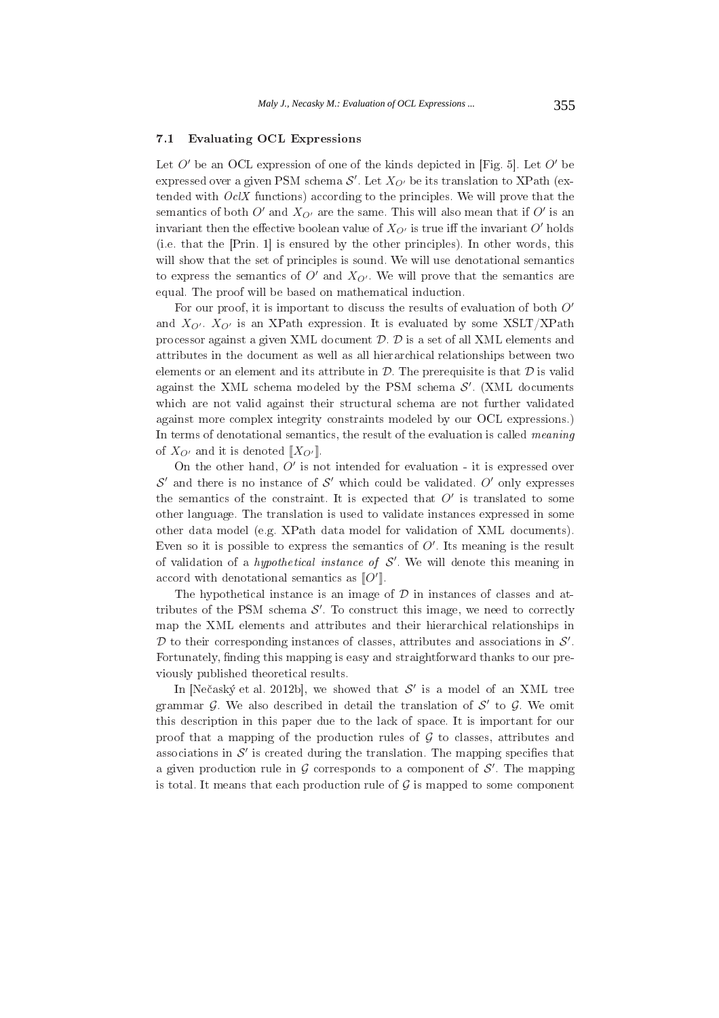# **Evaluating OCL Expressions**  $7.1$

Let  $O'$  be an OCL expression of one of the kinds depicted in [Fig. 5]. Let  $O'$  be expressed over a given PSM schema  $\mathcal{S}'$ . Let  $X_{\mathcal{O}'}$  be its translation to XPath (extended with  $Oc/X$  functions) according to the principles. We will prove that the semantics of both O' and  $X_{Q'}$  are the same. This will also mean that if O' is an invariant then the effective boolean value of  $X_{O'}$  is true iff the invariant O' holds (i.e. that the [Prin. 1] is ensured by the other principles). In other words, this will show that the set of principles is sound. We will use denotational semantics to express the semantics of  $O'$  and  $X_{O'}$ . We will prove that the semantics are equal. The proof will be based on mathematical induction.

For our proof, it is important to discuss the results of evaluation of both O' and  $X_{Q'}$ .  $X_{Q'}$  is an XPath expression. It is evaluated by some XSLT/XPath processor against a given XML document  $D$ .  $D$  is a set of all XML elements and attributes in the document as well as all hierarchical relationships between two elements or an element and its attribute in  $D$ . The prerequisite is that  $D$  is valid against the XML schema modeled by the PSM schema  $\mathcal{S}'$ . (XML documents which are not valid against their structural schema are not further validated against more complex integrity constraints modeled by our OCL expressions.) In terms of denotational semantics, the result of the evaluation is called *meaning* of  $X_{O'}$  and it is denoted  $[[X_{O'}]]$ .

On the other hand,  $O'$  is not intended for evaluation - it is expressed over  $\mathcal{S}'$  and there is no instance of  $\mathcal{S}'$  which could be validated. O' only expresses the semantics of the constraint. It is expected that  $O'$  is translated to some other language. The translation is used to validate instances expressed in some other data model (e.g. XPath data model for validation of XML documents). Even so it is possible to express the semantics of  $O'$ . Its meaning is the result of validation of a *hypothetical instance of*  $S'$ . We will denote this meaning in accord with denotational semantics as  $\llbracket O' \rrbracket$ 

The hypothetical instance is an image of  $\mathcal D$  in instances of classes and attributes of the PSM schema  $\mathcal{S}'$ . To construct this image, we need to correctly map the XML elements and attributes and their hierarchical relationships in  $\mathcal D$  to their corresponding instances of classes, attributes and associations in  $\mathcal S'$ . Fortunately, finding this mapping is easy and straightforward thanks to our previously published theoretical results.

In [Nečaský et al. 2012b], we showed that  $\mathcal{S}'$  is a model of an XML tree grammar  $\mathcal G$ . We also described in detail the translation of  $\mathcal S'$  to  $\mathcal G$ . We omit this description in this paper due to the lack of space. It is important for our proof that a mapping of the production rules of  $G$  to classes, attributes and associations in  $\mathcal{S}'$  is created during the translation. The mapping specifies that a given production rule in  $G$  corresponds to a component of  $S'$ . The mapping is total. It means that each production rule of  $G$  is mapped to some component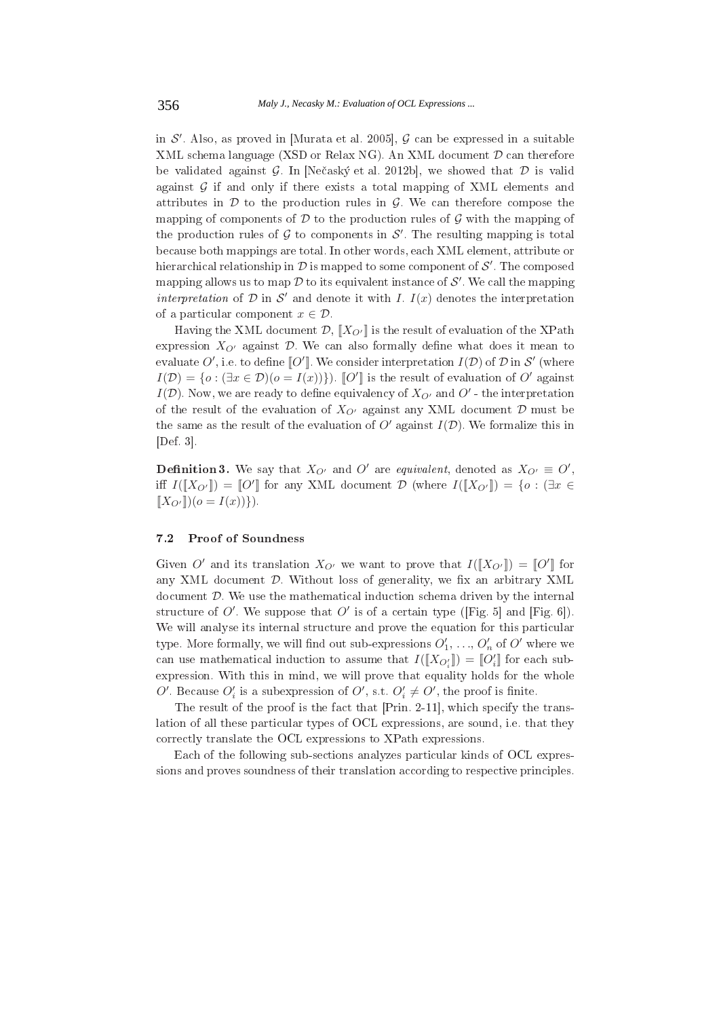in  $\mathcal{S}'$ . Also, as proved in [Murata et al. 2005],  $\mathcal{G}$  can be expressed in a suitable XML schema language (XSD or Relax NG). An XML document  $\mathcal D$  can therefore be validated against  $\mathcal G$ . In [Nečaský et al. 2012b], we showed that  $\mathcal D$  is valid against  $G$  if and only if there exists a total mapping of XML elements and attributes in  $\mathcal D$  to the production rules in  $\mathcal G$ . We can therefore compose the mapping of components of  $D$  to the production rules of  $G$  with the mapping of the production rules of  $G$  to components in  $S'$ . The resulting mapping is total because both mappings are total. In other words, each XML element, attribute or hierarchical relationship in  $\mathcal D$  is mapped to some component of  $\mathcal S'$ . The composed mapping allows us to map  $\mathcal D$  to its equivalent instance of  $\mathcal S'$ . We call the mapping interpretation of  $D$  in S' and denote it with I. I(x) denotes the interpretation of a particular component  $x \in \mathcal{D}$ .

Having the XML document  $\mathcal{D}, \llbracket X_{O'} \rrbracket$  is the result of evaluation of the XPath expression  $X_{Q'}$  against  $D$ . We can also formally define what does it mean to evaluate O', i.e. to define  $\llbracket O' \rrbracket$ . We consider interpretation  $I(\mathcal{D})$  of  $\mathcal D$  in S' (where  $I(\mathcal{D}) = \{o : (\exists x \in \mathcal{D})(o = I(x))\}\)$ .  $\mathcal{D}'\mathcal{D}$  is the result of evaluation of  $O'$  against  $I(\mathcal{D})$ . Now, we are ready to define equivalency of  $X_{Q'}$  and  $Q'$  - the interpretation of the result of the evaluation of  $X_{O'}$  against any XML document  $D$  must be the same as the result of the evaluation of O' against  $I(\mathcal{D})$ . We formalize this in  $[Def. 3]$ .

**Definition 3.** We say that  $X_{O'}$  and O' are equivalent, denoted as  $X_{O'} \equiv O'$ , iff  $I([X_{O'}]) = [O']$  for any XML document  $D$  (where  $I([X_{O'}]) = \{o : \exists x \in$  $[X_{Q'}](o = I(x))$ .

# $7.2$ **Proof of Soundness**

Given O' and its translation  $X_{O'}$  we want to prove that  $I([X_{O'}]) = [O']$  for any XML document  $D$ . Without loss of generality, we fix an arbitrary XML document  $D$ . We use the mathematical induction schema driven by the internal structure of O'. We suppose that O' is of a certain type (Fig. 5) and [Fig. 6]). We will analyse its internal structure and prove the equation for this particular type. More formally, we will find out sub-expressions  $O'_1, \ldots, O'_n$  of O' where we can use mathematical induction to assume that  $I([X_{O'}]) = [O'_i]$  for each subexpression. With this in mind, we will prove that equality holds for the whole O'. Because  $O'_i$  is a subexpression of O', s.t.  $O'_i \neq O'$ , the proof is finite.

The result of the proof is the fact that [Prin. 2-11], which specify the translation of all these particular types of OCL expressions, are sound, i.e. that they correctly translate the OCL expressions to XPath expressions.

Each of the following sub-sections analyzes particular kinds of OCL expressions and proves soundness of their translation according to respective principles.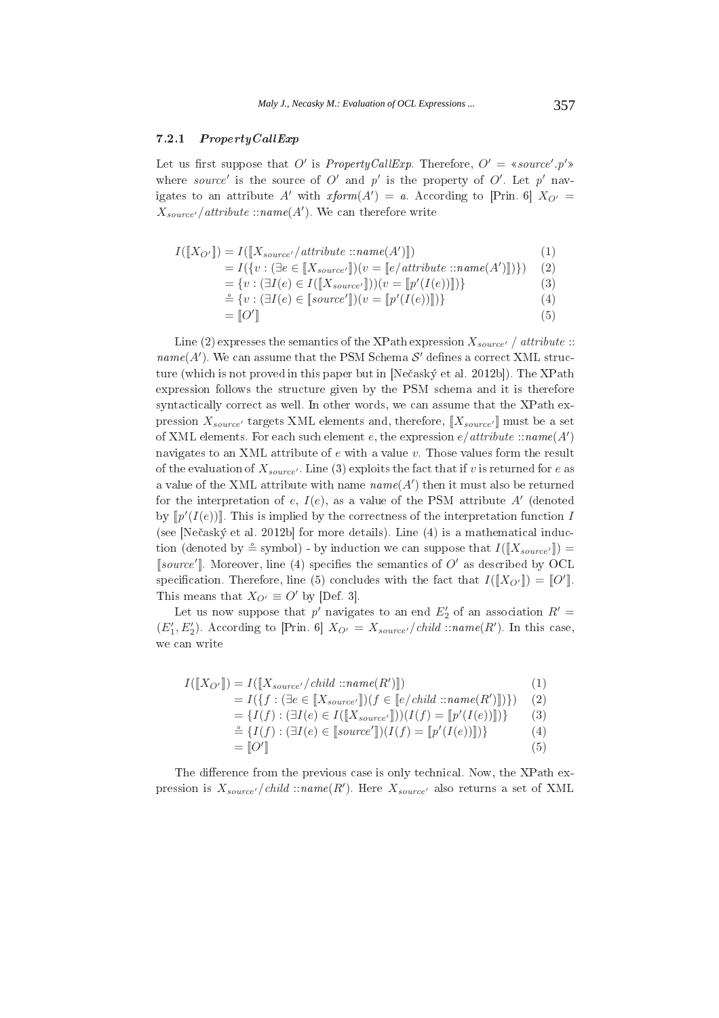# $\cdots$   $\cdots$   $\cdots$   $\cdots$   $\cdots$   $\cdots$

Let us first suppose that O' is *PropertyCallExp*. Therefore,  $O' =$  «source'.p'» where *source'* is the source of  $O'$  and  $p'$  is the property of  $O'$ . Let  $p'$  navigates to an attribute A' with  $rform(A') = a$ . According to [Prin. 6]  $X_{O'} =$  $X_{source'}/attribute::name(A')$ . We can therefore write

$$
I([X_{O'}]) = I([X_{source}/attribute::name(A')])
$$
\n<sup>(1)</sup>

 $= I({v : (\exists e \in [X_{source'}])(v = [e/attribute::name(A')]))})$  (2)

 $=\{v : (\exists I(e) \in I([X_{source'}])) (v = [p'(I(e))]] )\}$  (3)

$$
\stackrel{\circ}{=} \{v : (\exists I(e) \in [\text{source'}]) (v = [\![p'(I(e))]\!])\} \tag{4}
$$

$$
= [O'] \tag{5}
$$

Line (2) expresses the semantics of the XPath expression  $X_{source'}$  / attribute ::  $name(A')$ . We can assume that the PSM Schema  $\mathcal{S}'$  defines a correct XML struc- \*  

 +,-. 
 /01/2" 9 %  $\mathcal{L}$  . The second contract of the contract  $\mathcal{L}$  , the contract of the contract of the contract of the contract of  $\mathcal{L}$  
 \* ( 
 \* \* 

 %
 \$) pression  $X_{source'}$  targets XML elements and, therefore,  $\llbracket X_{source'} \rrbracket$  must be a set of XML elements. For each such element  $e$ , the expression  $e$ /attribute ::name(A') navigates to an XML attribute of  $e$  with a value  $v$ . Those values form the result of the evaluation of  $X_{source'}$ . Line (3) exploits the fact that if v is returned for e as a value of the XML attribute with name  $name(A')$  then it must also be returned for the interpretation of e,  $I(e)$ , as a value of the PSM attribute A' (denoted by  $[\![p'(I(e))]\!]$ . This is implied by the correctness of the interpretation function I +,-. 
 /01/2 
" & M" 

 ) tion (denoted by  $\stackrel{\simeq}{=}$  symbol) - by induction we can suppose that  $I([X_{source'}]) =$ [source']. Moreover, line (4) specifies the semantics of  $O'$  as described by OCL specification. Therefore, line (5) concludes with the fact that  $I([X_{O'}]) = [O']$ .<br>This means that  $X_{O'} \equiv O'$  by [Def. 3]. s that  $X_{O'} \equiv O'$  by [Def. 3].

Let us now suppose that  $p'$  navigates to an end  $E'_2$  of an association  $R' =$  $(E'_1, E'_2)$ . According to [Prin. 6]  $X_{O'} = X_{source'}/child::name(R')$ . In this case,

$$
I([\![X_{O'}\!]]) = I([\![X_{source'}/child::name(R')\!]]) \qquad (1)
$$
  
\n
$$
= I(\{f : (\exists e \in [\![X_{source'}\!]]) (f \in [\![e/child::name(R')\!]]) \}) \qquad (2)
$$
  
\n
$$
= \{I(f) : (\exists I(e) \in I([\![X_{source'}\!]]) (I(f) = [\![p'(I(e))\!]]) \} \qquad (3)
$$
  
\n
$$
\stackrel{\cong}{=} \{I(f) : (\exists I(e) \in [\![source']\!](I(f) = [\![p'(I(e))\!]]) \} \qquad (4)
$$
  
\n
$$
= [\![O']\!]
$$

9 ! 
  ,\* 
 %
 \$) pression is  $X_{source'}/child::name(R')$ . Here  $X_{source'}$  also returns a set of XML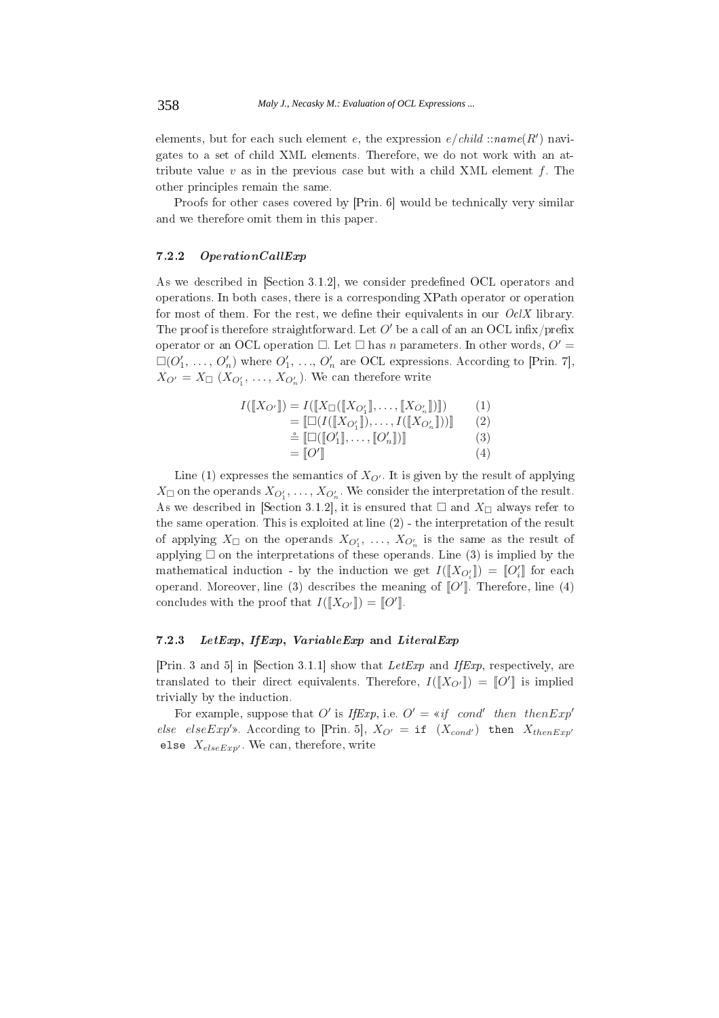elements, but for each such element e, the expression  $e/child::name(R')$  navigates to a set of child XML elements. Therefore, we do not work with an attribute value  $v$  as in the previous case but with a child XML element  $f$ . The other principles remain the same.

Proofs for other cases covered by [Prin. 6] would be technically very similar and we therefore omit them in this paper.

#### $7.2.2$  $OperationCallExp$

As we described in [Section 3.1.2], we consider predefined OCL operators and operations. In both cases, there is a corresponding XPath operator or operation for most of them. For the rest, we define their equivalents in our  $Oc/X$  library. The proof is therefore straightforward. Let  $O'$  be a call of an an OCL infix/prefix operator or an OCL operation  $\Box$ . Let  $\Box$  has *n* parameters. In other words,  $O' =$  $\square(O'_1, \ldots, O'_n)$  where  $O'_1, \ldots, O'_n$  are OCL expressions. According to [Prin. 7],  $X_{O'} = X_{\Box} (X_{O'_1}, \ldots, X_{O'_n})$ . We can therefore write

$$
I([\![X_{O'}]\!]) = I([\![X_{\Box}([\![X_{O'_1}]\!], \dots, [\![X_{O'_n}]\!])]) \qquad (1)
$$
  
\n
$$
= [\![\Box(I([\![X_{O'_1}]\!], \dots, I([\![X_{O'_n}]\!]))] \qquad (2)
$$
  
\n
$$
\triangleq [\![\Box([\![O'_1]\!], \dots, [\![O'_n]\!])]] \qquad (3)
$$
  
\n
$$
= [\![O'] \qquad (4)
$$

Line (1) expresses the semantics of  $X_{O'}$ . It is given by the result of applying  $X_{\Box}$  on the operands  $X_{O'_1}, \ldots, X_{O'_n}$ . We consider the interpretation of the result. As we described in [Section 3.1.2], it is ensured that  $\square$  and  $X_{\square}$  always refer to the same operation. This is exploited at line  $(2)$  - the interpretation of the result of applying  $X_{\Box}$  on the operands  $X_{O'_1}, \ldots, X_{O'_n}$  is the same as the result of applying  $\square$  on the interpretations of these operands. Line (3) is implied by the mathematical induction - by the induction we get  $I([X_{O'}]) = [O'_i]$  for each operand. Moreover, line (3) describes the meaning of  $\llbracket O' \rrbracket$ . Therefore, line (4) concludes with the proof that  $I([X_{O'}]) = [O']$ .

#### 7.2.3 LetExp, IfExp, VariableExp and LiteralExp

[Prin. 3 and 5] in [Section 3.1.1] show that LetExp and IfExp, respectively, are translated to their direct equivalents. Therefore,  $I([X_{Q'}]) = [Q']$  is implied trivially by the induction.

For example, suppose that O' is IfExp, i.e.  $O' = *if$  cond' then then  $Exp'$ else elseExp'». According to [Prin. 5],  $X_{O'} = if (X_{cond'})$  then  $X_{thenExp'}$ else  $X_{elseExp'}$ . We can, therefore, write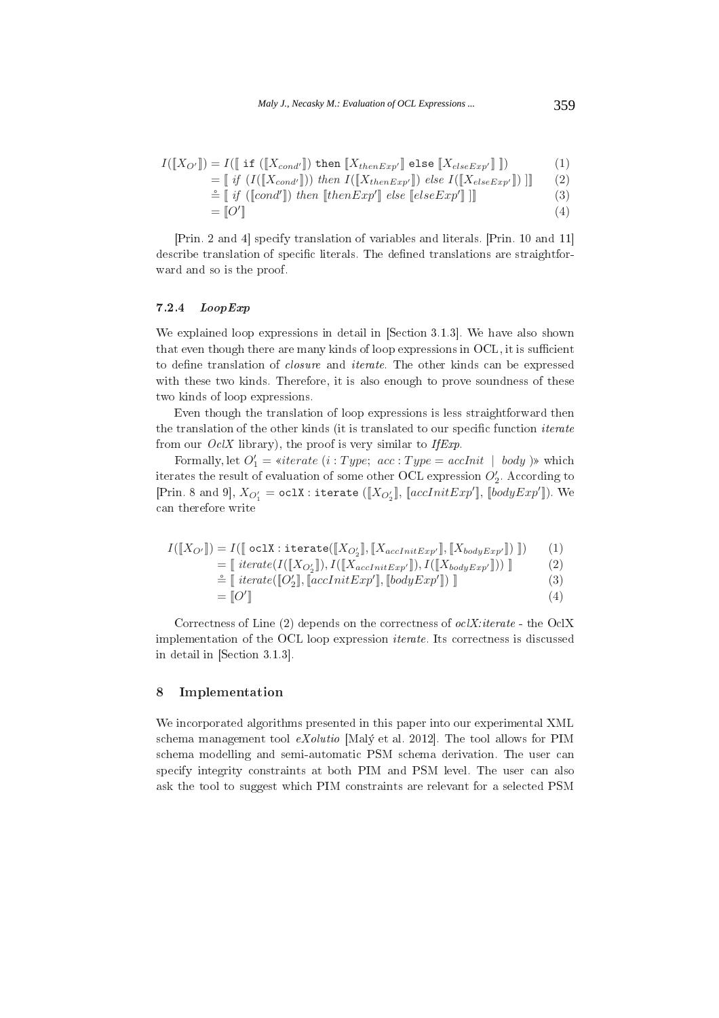$$
I([\![X_{O'}]\!]) = I([\![\text{if }([\![X_{cond'}]\!])\text{ then }[\![X_{thenExp'}]\!]\text{ else }[\![X_{elseExp'}]\!]\!])
$$
(1)

$$
= \iint_{\mathbb{R}} \left( I([\mathbf{X}_{cond}]) \right) \, then \, I([\mathbf{X}_{thenExp'}]) \, else \, I([\mathbf{X}_{elseExp'}]) \, ] \tag{2}
$$

$$
\stackrel{\circ}{=}\left[\begin{array}{c}\nif\ ([cond'])\ then\ [thenExp']\ else\ [elseExp']\end{array}\right]\right]
$$
\n(3)

$$
= [O'] \tag{4}
$$

+ / M2  
 + 10 112 ; 
 9 ; 

) \* 

# 7.2.4 *LoopExp*

 $\mathbf{B} = \mathbf{B} \times \mathbf{B}$  , and the set of the set of the set of the set of the set of the set of the set of the set of the set of the set of the set of the set of the set of the set of the set of the set of the set of the  $\mathbf{A}$  ; - 9 \$  $\mathbf{A}$  . The set of  $\mathbf{A}$  is the set of  $\mathbf{A}$  is the set of  $\mathbf{A}$  is the set of  $\mathbf{A}$ \* \$

H 

 \$ 

\* experience the contract of the contract of the contract of the contract of the contract of the contract of the from our  $OclX$  library), the proof is very similar to IfExp.

n our *OclX* library), the proof is very similar to *IfExp*.<br>Formally, let  $O'_1 =$  «iterate  $(i : Type; acc : Type = acclnit \mid body)$ » which iterates the result of evaluation of some other OCL expression  $O'_{2}$ . According to  $[\operatorname{Prin. 8\ and\ 9}], X_{O_1'} = \mathtt{oclx} : \mathtt{iterate}\ ([X_{O_2'}],\ [\mathit{accInitExp'}],\ [\mathit{bodyExp'}]).\ \mathsf{We}$ 

$$
I([\![X_{O'}]\!]) = I([\![\text{ oclX} : \text{iterate}([\![X_{O'_2}]\!], [\![X_{accInitExp'}]\!], [\![X_{bodyExp'}\!]])\ ]\ ] ) \tag{1}
$$
  
\n
$$
= [\![\text{ iterate}(\text{I}([\![X_{O'_2}]\!]), \text{I}([\![X_{accInitExp'}]\!]), \text{I}([\![X_{bodyExp'}\!]])\ ]\ ] \tag{2)}
$$
  
\n
$$
\stackrel{\circ}{=} [\![\text{ iterate}([\![O'_2]\!], [\![\text{accInitExp'}]\!], [\text{bodyExp'}\!]])\ ] \tag{3}
$$
  
\n
$$
= [\![O']\ ] \tag{4}
$$

- & /" 
 -/ ) 
 3% 
 3-& \$ (

 +< 8 1 82

#### 8 , -

B 

 \$ %& - +. 
 /01/2 9 
 \* ( ) <  9 ( <  9  $\mathbf{f}$  and  $\mathbf{f}$  and  $\mathbf{f}$  and  $\mathbf{f}$  are  $\mathbf{f}$  and  $\mathbf{f}$  and  $\mathbf{f}$  are  $\mathbf{f}$  and  $\mathbf{f}$  and  $\mathbf{f}$  are  $\mathbf{f}$  and  $\mathbf{f}$  and  $\mathbf{f}$  are  $\mathbf{f}$  and  $\mathbf{f}$  and  $\mathbf{f}$  are  $\mathbf{f}$  and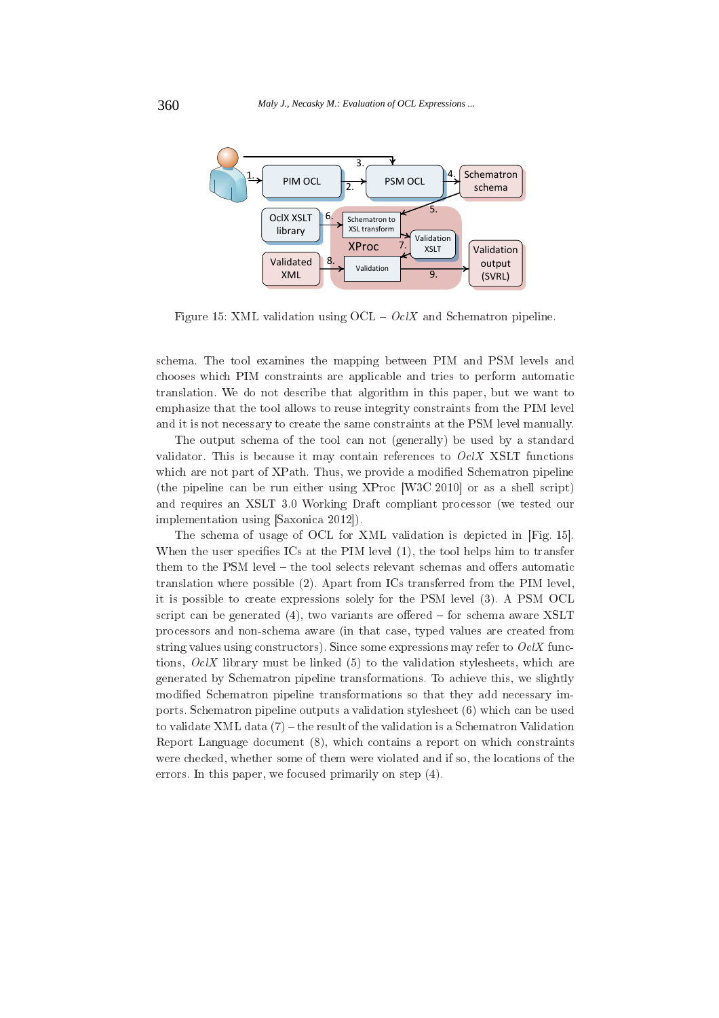

Figure 15: XML validation using  $OCL - Oc/X$  and Schematron pipeline.

schema. The tool examines the mapping between PIM and PSM levels and chooses which PIM constraints are applicable and tries to perform automatic translation. We do not describe that algorithm in this paper, but we want to emphasize that the tool allows to reuse integrity constraints from the PIM level and it is not necessary to create the same constraints at the PSM level manually.

The output schema of the tool can not (generally) be used by a standard validator. This is because it may contain references to  $Oc/X$  XSLT functions which are not part of XPath. Thus, we provide a modified Schematron pipeline (the pipeline can be run either using XProc [W3C 2010] or as a shell script) and requires an XSLT 3.0 Working Draft compliant processor (we tested our implementation using [Saxonica 2012]).

The schema of usage of OCL for XML validation is depicted in [Fig. 15]. When the user specifies ICs at the PIM level (1), the tool helps him to transfer them to the PSM level – the tool selects relevant schemas and offers automatic translation where possible (2). Apart from ICs transferred from the PIM level, it is possible to create expressions solely for the PSM level (3). A PSM OCL script can be generated  $(4)$ , two variants are offered – for schema aware XSLT processors and non-schema aware (in that case, typed values are created from string values using constructors). Since some expressions may refer to  $OcX$  functions,  $OclX$  library must be linked (5) to the validation stylesheets, which are generated by Schematron pipeline transformations. To achieve this, we slightly modified Schematron pipeline transformations so that they add necessary imports. Schematron pipeline outputs a validation stylesheet (6) which can be used to validate XML data  $(7)$  – the result of the validation is a Schematron Validation Report Language document (8), which contains a report on which constraints were checked, whether some of them were violated and if so, the locations of the errors. In this paper, we focused primarily on step  $(4)$ .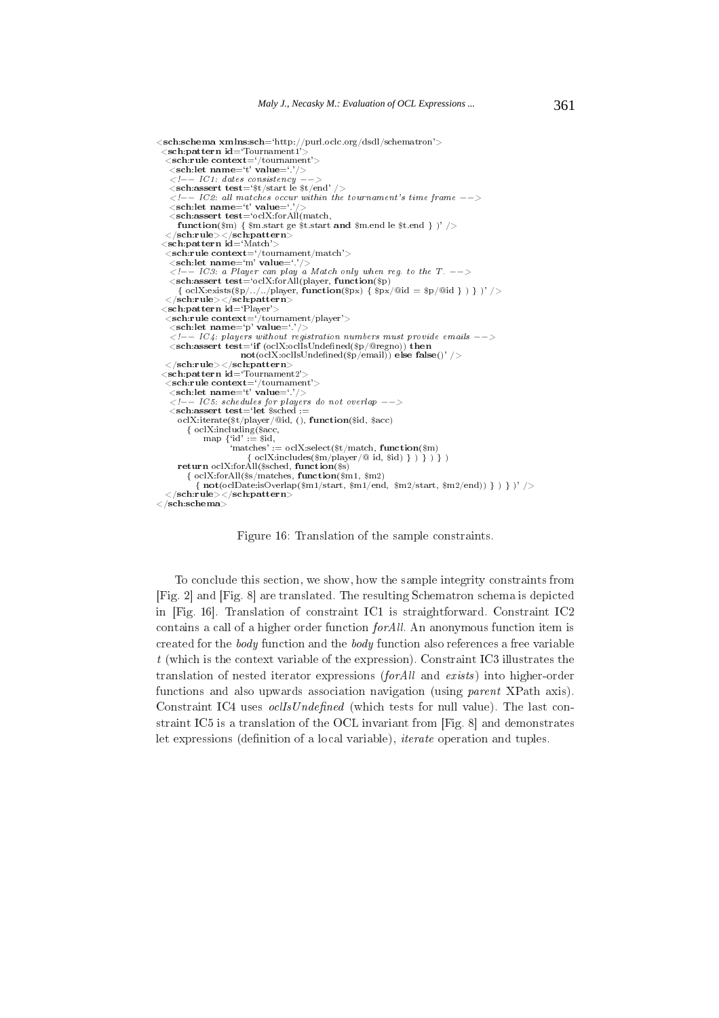```
<sch:schema xmlns:sch='http://purl.oclc.org/dsdl/schematron'>
  <sch:pattern id='Tournament1'
   \langlesch:rule context='/tournament'>
     \frac{1}{2} \frac{1}{2} \frac{1}{2} \frac{1}{2} \frac{1}{2} \frac{1}{2} \frac{1}{2} \frac{1}{2} \frac{1}{2} \frac{1}{2} \frac{1}{2} \frac{1}{2} \frac{1}{2} \frac{1}{2} \frac{1}{2} \frac{1}{2} \frac{1}{2} \frac{1}{2} \frac{1}{2} \frac{1}{2} \frac{1}{2} \frac{1}{2} \langle -| - | IC1: \textit{dates} \textit{ consistent} \textit{c} \textit{y'} \rangle<sch:assert test='$t/start le $t/end'
                                                                                        /\langle -\rangle = IC2; all matches occur within the tournament's time frame --\leqsch:let name='t' value='
     \leqsch:assert test='oclX:forAll(match,
         {\bf function} (\$_{m})\ \{\ \$m . {\rm start}\ {\rm ge}\ \${\rm t}. {\rm start}\ {\bf and}\ \$m . {\rm end}\ {\rm le}\ \${\rm t}. {\rm end}\ \})\ /\!\!>\mathopen{<}/\mathbf{sch}:\mathbf{rule}\mathopen{>}{\mathopen{<}}\mathopen{<}/\mathbf{sch}:\mathbf{pattern}\mathclose{>}<sch:pattern id='Match'>
   \lesch:rule context='/tournament/match'><br>
\lesch:let name='m' value='.'/>
      \langle -1 - 1C3: a Player can play a Match only when reg. to the T. \langle -2 \rangle<sch:assert test='oclX:forAll(player, function($p)
          \{ \;\mathit{oclX:exists}(\$\mathrm{p}/../../player, \mathbf{\hat{function}}(\$\mathrm{px}) \; \{\;\$\mathrm{px}/@\mathrm{id} = \$\mathrm{p}/@\mathrm{id} \;\}) \;\} \; )' \; / \!></sch:rule></sch:pattern>
  <sch:pattern id='Player'>
     \frac{\text{Schr} \cdot \text{Buler}}{\text{Schr} \cdot \text{rule context}} = \frac{1}{3} \times \frac{1}{3}<br>
\frac{\text{Schr} \cdot \text{rule context}}{\text{Schr} \cdot \text{rule (1,1)} \cdot \text{rule (1,1)} \cdot \text{rule (1,1)} \cdot \text{rule (1,1)} \cdot \text{rule (1,1)} \cdot \text{rule (1,1)} \cdot \text{rule (1,1)} \cdot \text{rule (1,1)} \cdot \text{rule (1,1)} \cdot \text{rule (1,1)} \cdot \text{rule (1,1)} \cdot \text{rule (1,1)} \cdot \text{rule (1,1)} \cdot \text<sub>sc</sub></sub>
      \langle -1, 1, 1 \rangle \langle -1, 1, 2 \rangle \langle 1, 1 \rangle \langle 1, 1 \rangle \langle 1, 1 \rangle \langle 1, 1 \rangle \langle 1, 1 \rangle \langle 1, 1 \rangle \langle 1, 1 \rangle \langle 1, 1 \rangle \langle 1, 1 \rangle \langle 1, 1 \rangle \langle 1, 1 \rangle \langle 1, 1 \rangle \langle 1, 1 \rangle \langle 1, 1 \rangle \langle 1, 1 \rangle \langle 1, 1 \rangle\leqsch:assert test='if (oclX:oclIsUndefined($p/@regno)) then
                                       \mathbf{not}(\text{oclX:} \text{oclIsUnder} \text{neg}(\hat{\mathbf{s}}_p/\text{email})) else false()' />
   \langle/sch:rule>\langle/sch:pattern>\lesch:pattern id='Tournament2'.
   \frac{1}{\text{brace}}<br>
<sch:rule context='/tournament'><br>
<sch:let name='t' value='.'/>
     \langle--1C5: schedules for players do not overlap --><br>
\langle--1C5: schedules for players do not overlap -->
         oclX:iterate($t/player/@id,(), function($id, $acc)
             {ocIX:including ($acc, map {{id'} := $id},:= wid;<br>tches' := oclX:select($t/match, function($m)<br>{ oclX:includes($m/player/@ id, $id) } ) } ) }
                                   'matches'
         return oclX:forAll($sched, function($s)
              \{ \text{ oclX:forAll($\$s/matches, function($\$m1, $m2)\}\{not (ocIDate.isOverlap(\$m1/start, \$m1/end, \$m2/start, \$m2/end)) \} ) } )' />
      <\!\!/\text{sch}:\!\!\dot{\text{rule}}\!\!>\,\!<\!\!/\text{sch}:\!\text{pattern}\!\!>\langle/sch:schema\rangle
```
Figure 16: Translation of the sample constraints.

To conclude this section, we show, how the sample integrity constraints from [Fig. 2] and [Fig. 8] are translated. The resulting Schematron schema is depicted in [Fig. 16]. Translation of constraint IC1 is straightforward. Constraint IC2 contains a call of a higher order function  $for All$ . An anonymous function item is created for the *body* function and the *body* function also references a free variable  $t$  (which is the context variable of the expression). Constraint IC3 illustrates the translation of nested iterator expressions (for All and exists) into higher-order functions and also upwards association navigation (using *parent XPath axis)*. Constraint IC4 uses *ocllsUndefined* (which tests for null value). The last constraint IC5 is a translation of the OCL invariant from [Fig. 8] and demonstrates let expressions (definition of a local variable), *iterate* operation and tuples.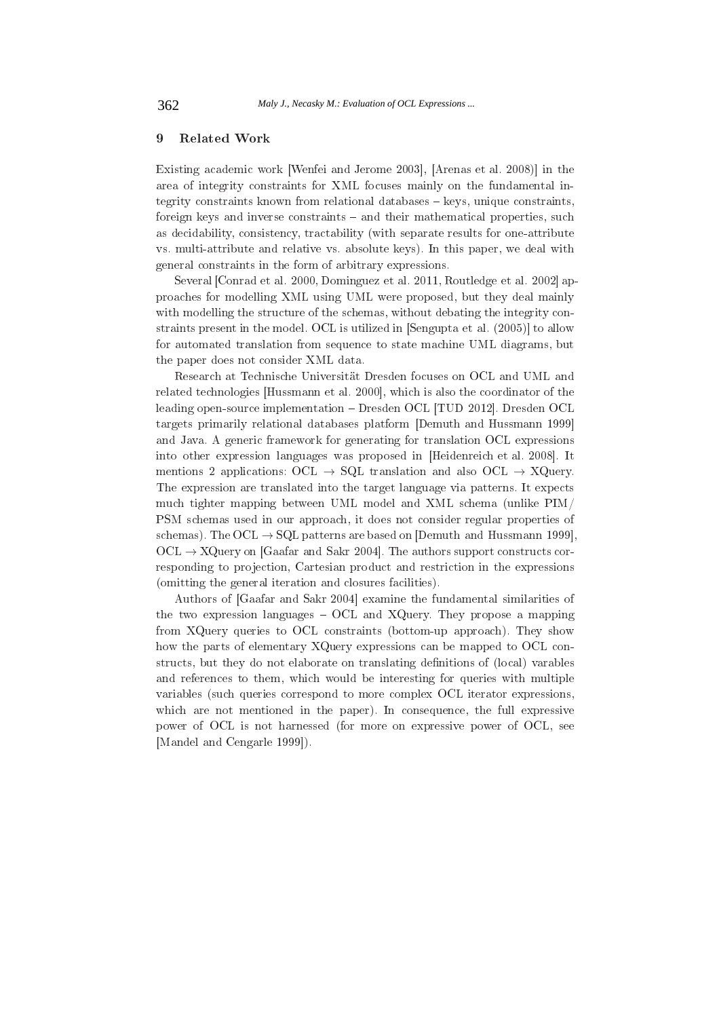# 9 **Related Work**

Existing academic work [Wenfei and Jerome 2003], [Arenas et al. 2008)] in the area of integrity constraints for XML focuses mainly on the fundamental integrity constraints known from relational databases - keys, unique constraints, foreign keys and inverse constraints - and their mathematical properties, such as decidability, consistency, tractability (with separate results for one-attribute vs. multi-attribute and relative vs. absolute keys). In this paper, we deal with general constraints in the form of arbitrary expressions.

Several [Conrad et al. 2000, Dominguez et al. 2011, Routledge et al. 2002] approaches for modelling XML using UML were proposed, but they deal mainly with modelling the structure of the schemas, without debating the integrity constraints present in the model. OCL is utilized in Sengupta et al. (2005) to allow for automated translation from sequence to state machine UML diagrams, but the paper does not consider XML data.

Research at Technische Universität Dresden focuses on OCL and UML and related technologies [Hussmann et al. 2000], which is also the coordinator of the leading open-source implementation - Dresden OCL [TUD 2012]. Dresden OCL targets primarily relational databases platform [Demuth and Hussmann 1999] and Java. A generic framework for generating for translation OCL expressions into other expression languages was proposed in [Heidenreich et al. 2008]. It mentions 2 applications:  $OCL \rightarrow SQL$  translation and also  $OCL \rightarrow XQuery$ . The expression are translated into the target language via patterns. It expects much tighter mapping between UML model and XML schema (unlike PIM/ PSM schemas used in our approach, it does not consider regular properties of schemas). The OCL  $\rightarrow$  SQL patterns are based on [Demuth and Hussmann 1999].  $OCL \rightarrow XQuery \text{ on } [Gaafar \text{ and } Sakr \text{ } 2004]$ . The authors support constructs corresponding to projection, Cartesian product and restriction in the expressions (omitting the general iteration and closures facilities).

Authors of [Gaafar and Sakr 2004] examine the fundamental similarities of the two expression languages  $-$  OCL and XQuery. They propose a mapping from XQuery queries to OCL constraints (bottom-up approach). They show how the parts of elementary XQuery expressions can be mapped to OCL constructs, but they do not elaborate on translating definitions of (local) varables and references to them, which would be interesting for queries with multiple variables (such queries correspond to more complex OCL iterator expressions, which are not mentioned in the paper). In consequence, the full expressive power of OCL is not harnessed (for more on expressive power of OCL, see [Mandel and Cengarle 1999]).

362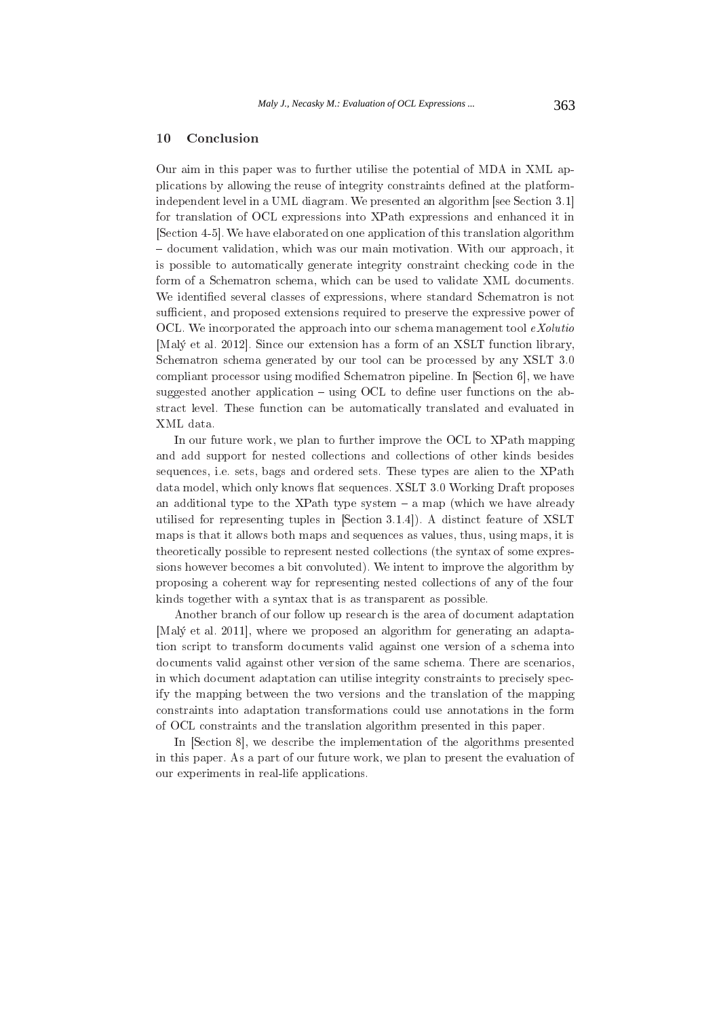#### 10 Conclusion

Our aim in this paper was to further utilise the potential of MDA in XML applications by allowing the reuse of integrity constraints defined at the platformindependent level in a UML diagram. We presented an algorithm [see Section 3.1] for translation of OCL expressions into XPath expressions and enhanced it in [Section 4-5]. We have elaborated on one application of this translation algorithm - document validation, which was our main motivation. With our approach, it is possible to automatically generate integrity constraint checking code in the form of a Schematron schema, which can be used to validate XML documents. We identified several classes of expressions, where standard Schematron is not sufficient, and proposed extensions required to preserve the expressive power of OCL. We incorporated the approach into our schema management tool  $eXolution$ [Malý et al. 2012]. Since our extension has a form of an XSLT function library, Schematron schema generated by our tool can be processed by any XSLT 3.0 compliant processor using modified Schematron pipeline. In [Section 6], we have suggested another application  $-$  using OCL to define user functions on the abstract level. These function can be automatically translated and evaluated in XML data.

In our future work, we plan to further improve the OCL to XPath mapping and add support for nested collections and collections of other kinds besides sequences, i.e. sets, bags and ordered sets. These types are alien to the XPath data model, which only knows flat sequences. XSLT 3.0 Working Draft proposes an additional type to the XPath type system  $-$  a map (which we have already utilised for representing tuples in [Section 3.1.4]). A distinct feature of XSLT maps is that it allows both maps and sequences as values, thus, using maps, it is theoretically possible to represent nested collections (the syntax of some expressions however becomes a bit convoluted). We intent to improve the algorithm by proposing a coherent way for representing nested collections of any of the four kinds together with a syntax that is as transparent as possible.

Another branch of our follow up research is the area of document adaptation [Maly et al. 2011], where we proposed an algorithm for generating an adaptation script to transform documents valid against one version of a schema into documents valid against other version of the same schema. There are scenarios, in which document adaptation can utilise integrity constraints to precisely specify the mapping between the two versions and the translation of the mapping constraints into adaptation transformations could use annotations in the form of OCL constraints and the translation algorithm presented in this paper.

In [Section 8], we describe the implementation of the algorithms presented in this paper. As a part of our future work, we plan to present the evaluation of our experiments in real-life applications.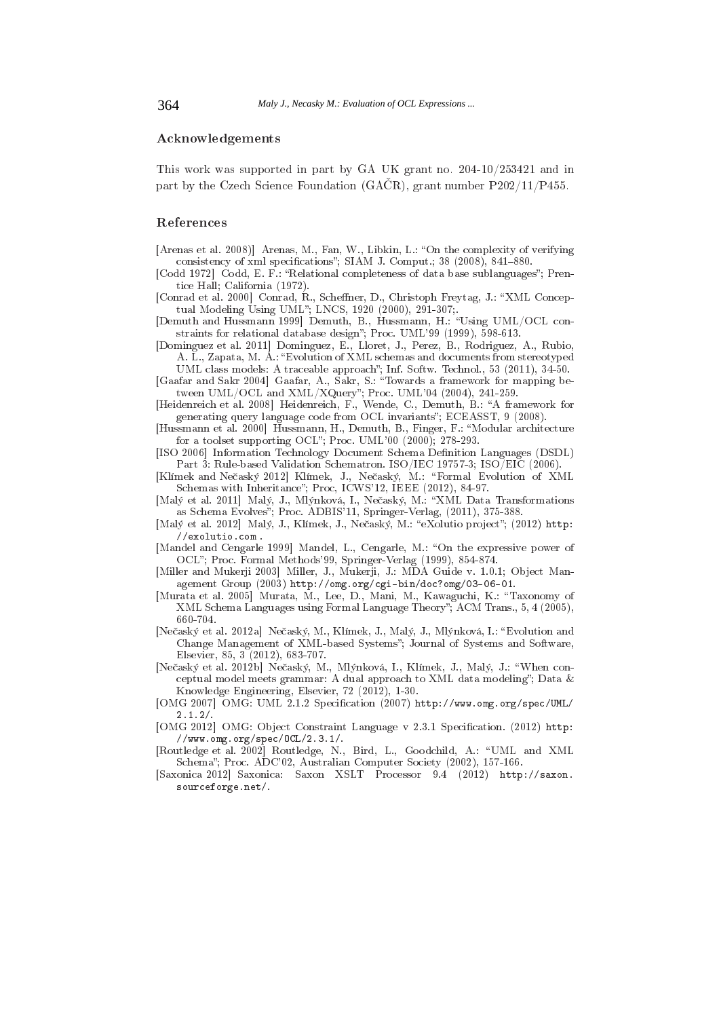# Acknowledgements

This work was supported in part by GA UK grant no. 204-10/253421 and in part by the Czech Science Foundation (GACR), grant number  $P202/11/P455$ .

# References

- [Arenas et al. 2008]] Arenas, M., Fan, W., Libkin, L.: "On the complexity of verifying consistency of xml specifications"; SIAM J. Comput.; 38 (2008), 841-880.
- [Codd 1972] Codd, E. F.: "Relational completeness of data base sublanguages"; Prentice Hall; California (1972).
- [Conrad et al. 2000] Conrad, R., Scheffner, D., Christoph Freytag, J.: "XML Conceptual Modeling Using UML"; LNCS, 1920 (2000), 291-307;
- [Demuth and Hussmann 1999] Demuth, B., Hussmann, H.: "Using UML/OCL constraints for relational database design"; Proc. UML'99 (1999), 598-613.
- [Dominguez et al. 2011] Dominguez, E., Lloret, J., Perez, B., Rodriguez, A., Rubio, A. L., Zapata, M. A.: "Evolution of XML schemas and documents from stereotyped
- UML class models: A traceable approach"; Inf. Softw. Technol., 53 (2011), 34-50. [Gaafar and Sakr 2004] Gaafar, A., Sakr, S.: "Towards a framework for mapping be-<br>tween UML/OCL and XML/XQuery"; Proc. UML'04 (2004), 241-259.
- [Heidenreich et al. 2008] Heidenreich, F., Wende, C., Demuth, B.: "A framework for
- generating query language code from OCL invariants"; ECEASST, 9 (2008). [Hussmann et al. 2000] Hussmann, H., Demuth, B., Finger, F.: "Modular architecture
- for a toolset supporting OCL"; Proc. UML'00 (2000); 278-293. [ISO 2006] Information Technology Document Schema Definition Languages (DSDL)
- Part 3: Rule-based Validation Schematron. ISO/IEC 19757-3; ISO/EIC (2006). [Klímek and Nečaský 2012] Klímek, J., Nečaský, M.: "Formal Evolution of XML
- Schemas with Inheritance"; Proc, ICWS'12, IEEE (2012), 84-97. [Malý et al. 2011] Malý, J., Mlýnková, I., Nečaský, M.: "XML Data Transformations
- as Schema Evolves"; Proc. ADBIS'11, Springer-Verlag, (2011), 375-388
- [Malý et al. 2012] Malý, J., Klímek, J., Nečaský, M.: "eXolutio project"; (2012) http:  $//$ exolutio.com.
- [Mandel and Cengarle 1999] Mandel, L., Cengarle, M.: "On the expressive power of OCL"; Proc. Formal Methods'99, Springer-Verlag (1999), 854-874.
- [Miller and Mukerji 2003] Miller, J., Mukerji, J.: MDA Guide v. 1.0.1; Object Management Group (2003) http://omg.org/cgi-bin/doc?omg/03-06-01.
- [Murata et al. 2005] Murata, M., Lee, D., Mani, M., Kawaguchi, K.: "Taxonomy of XML Schema Languages using Formal Language Theory"; ACM Trans., 5, 4 (2005), 660-704
- [Nečaský et al. 2012a] Nečaský, M., Klímek, J., Malý, J., Mlýnková, I.: "Evolution and Change Management of XML-based Systems"; Journal of Systems and Software, Elsevier, 85, 3 (2012), 683-707.
- [Nečaský et al. 2012b] Nečaský, M., Mlýnková, I., Klímek, J., Malý, J.: "When conceptual model meets grammar: A dual approach to XML data modeling"; Data & Knowledge Engineering, Elsevier, 72 (2012), 1-30.
- [OMG 2007] OMG: UML 2.1.2 Specification (2007) http://www.omg.org/spec/UML/  $2.1.2/$
- [OMG 2012] OMG: Object Constraint Language v 2.3.1 Specification. (2012) http:  $//www.omg.org/spec/0CL/2.3.1/.$
- [Routledge et al. 2002] Routledge, N., Bird, L., Goodchild, A.: "UML and XML Schema"; Proc. ADC'02, Australian Computer Society (2002), 157-166.
- [Saxonica 2012] Saxonica: Saxon XSLT Processor 9.4 (2012) http://saxon. sourceforge.net/.

364